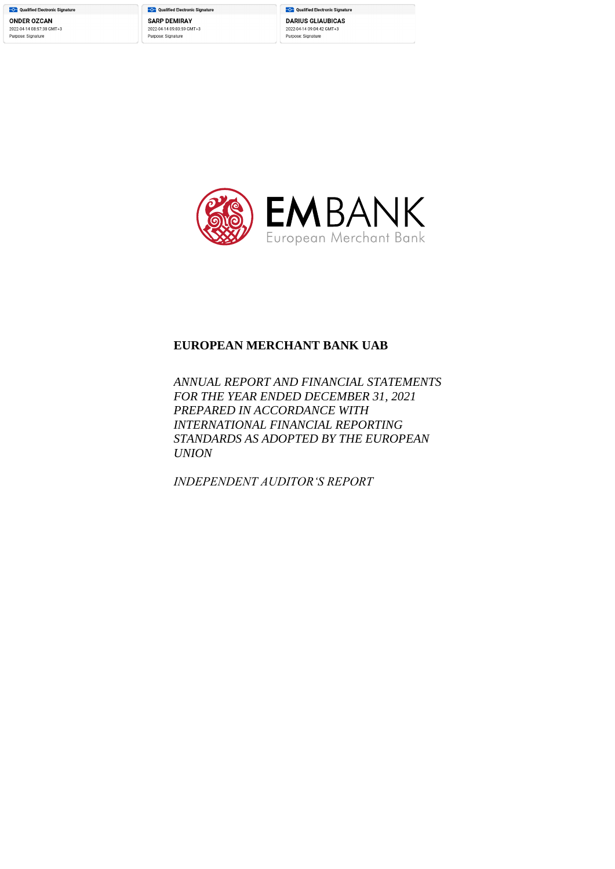- Qualified Electronic Signature **ONDER OZCAN** 2022-04-14 08:57:38 GMT+3 Purpose: Signature

**O** Qualified Electronic Signature **SARP DEMIRAY** 2022-04-14 09:03:59 GMT+3 Purpose: Signature





### **EUROPEAN MERCHANT BANK UAB**

*ANNUAL REPORT AND FINANCIAL STATEMENTS FOR THE YEAR ENDED DECEMBER 31, 2021 PREPARED IN ACCORDANCE WITH INTERNATIONAL FINANCIAL REPORTING STANDARDS AS ADOPTED BY THE EUROPEAN UNION*

*INDEPENDENT AUDITOR'S REPORT*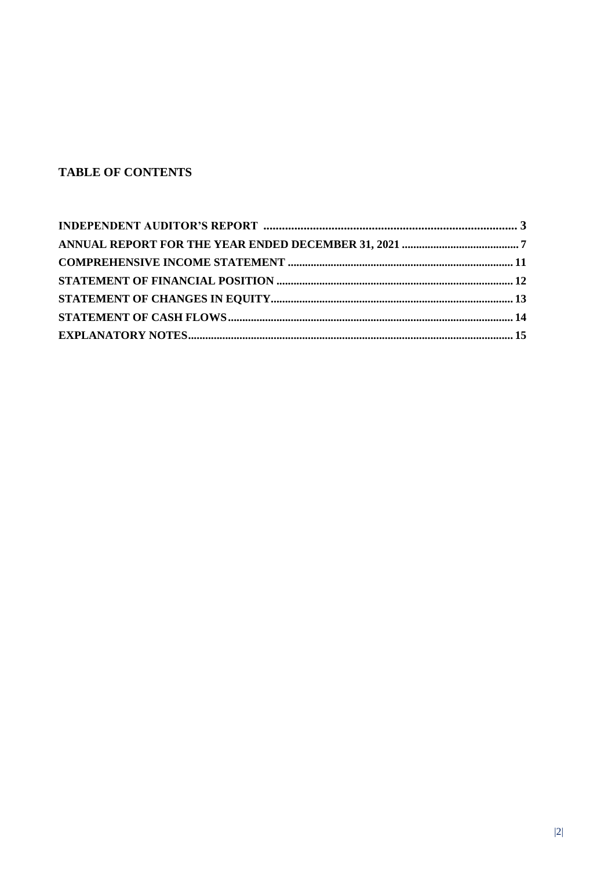# **TABLE OF CONTENTS**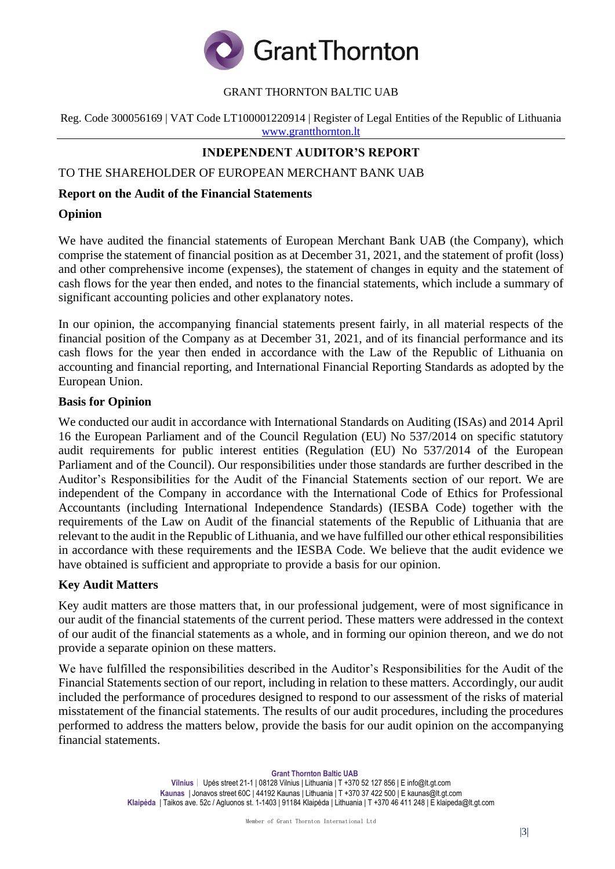

# GRANT THORNTON BALTIC UAB

Reg. Code 300056169 | VAT Code LT100001220914 | Register of Legal Entities of the Republic of Lithuania [www.grantthornton.lt](file://///gt.local/GTB/GTB%20Public/Informacija%20darbuotojams/Dokumentu%20sablonai/www.grantthornton.lt)

# **INDEPENDENT AUDITOR'S REPORT**

#### TO THE SHAREHOLDER OF EUROPEAN MERCHANT BANK UAB

#### **Report on the Audit of the Financial Statements**

#### **Opinion**

We have audited the financial statements of European Merchant Bank UAB (the Company), which comprise the statement of financial position as at December 31, 2021, and the statement of profit (loss) and other comprehensive income (expenses), the statement of changes in equity and the statement of cash flows for the year then ended, and notes to the financial statements, which include a summary of significant accounting policies and other explanatory notes.

In our opinion, the accompanying financial statements present fairly, in all material respects of the financial position of the Company as at December 31, 2021, and of its financial performance and its cash flows for the year then ended in accordance with the Law of the Republic of Lithuania on accounting and financial reporting, and International Financial Reporting Standards as adopted by the European Union.

#### **Basis for Opinion**

We conducted our audit in accordance with International Standards on Auditing (ISAs) and 2014 April 16 the European Parliament and of the Council Regulation (EU) No 537/2014 on specific statutory audit requirements for public interest entities (Regulation (EU) No 537/2014 of the European Parliament and of the Council). Our responsibilities under those standards are further described in the Auditor's Responsibilities for the Audit of the Financial Statements section of our report. We are independent of the Company in accordance with the International Code of Ethics for Professional Accountants (including International Independence Standards) (IESBA Code) together with the requirements of the Law on Audit of the financial statements of the Republic of Lithuania that are relevant to the audit in the Republic of Lithuania, and we have fulfilled our other ethical responsibilities in accordance with these requirements and the IESBA Code. We believe that the audit evidence we have obtained is sufficient and appropriate to provide a basis for our opinion.

#### **Key Audit Matters**

Key audit matters are those matters that, in our professional judgement, were of most significance in our audit of the financial statements of the current period. These matters were addressed in the context of our audit of the financial statements as a whole, and in forming our opinion thereon, and we do not provide a separate opinion on these matters.

We have fulfilled the responsibilities described in the Auditor's Responsibilities for the Audit of the Financial Statements section of our report, including in relation to these matters. Accordingly, our audit included the performance of procedures designed to respond to our assessment of the risks of material misstatement of the financial statements. The results of our audit procedures, including the procedures performed to address the matters below, provide the basis for our audit opinion on the accompanying financial statements.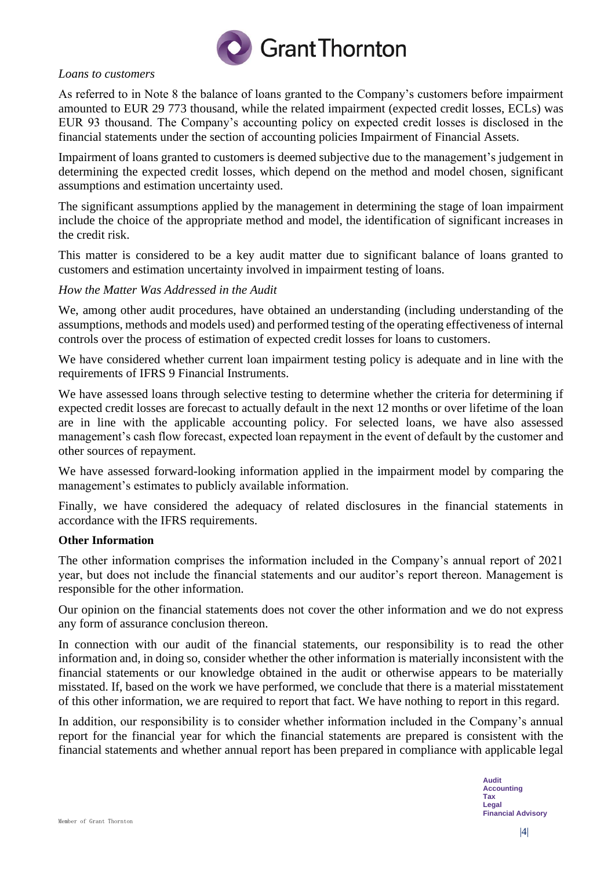

#### *Loans to customers*

As referred to in Note 8 the balance of loans granted to the Company's customers before impairment amounted to EUR 29 773 thousand, while the related impairment (expected credit losses, ECLs) was EUR 93 thousand. The Company's accounting policy on expected credit losses is disclosed in the financial statements under the section of accounting policies Impairment of Financial Assets.

Impairment of loans granted to customers is deemed subjective due to the management's judgement in determining the expected credit losses, which depend on the method and model chosen, significant assumptions and estimation uncertainty used.

The significant assumptions applied by the management in determining the stage of loan impairment include the choice of the appropriate method and model, the identification of significant increases in the credit risk.

This matter is considered to be a key audit matter due to significant balance of loans granted to customers and estimation uncertainty involved in impairment testing of loans.

#### *How the Matter Was Addressed in the Audit*

We, among other audit procedures, have obtained an understanding (including understanding of the assumptions, methods and models used) and performed testing of the operating effectiveness of internal controls over the process of estimation of expected credit losses for loans to customers.

We have considered whether current loan impairment testing policy is adequate and in line with the requirements of IFRS 9 Financial Instruments.

We have assessed loans through selective testing to determine whether the criteria for determining if expected credit losses are forecast to actually default in the next 12 months or over lifetime of the loan are in line with the applicable accounting policy. For selected loans, we have also assessed management's cash flow forecast, expected loan repayment in the event of default by the customer and other sources of repayment.

We have assessed forward-looking information applied in the impairment model by comparing the management's estimates to publicly available information.

Finally, we have considered the adequacy of related disclosures in the financial statements in accordance with the IFRS requirements.

#### **Other Information**

The other information comprises the information included in the Company's annual report of 2021 year, but does not include the financial statements and our auditor's report thereon. Management is responsible for the other information.

Our opinion on the financial statements does not cover the other information and we do not express any form of assurance conclusion thereon.

In connection with our audit of the financial statements, our responsibility is to read the other information and, in doing so, consider whether the other information is materially inconsistent with the financial statements or our knowledge obtained in the audit or otherwise appears to be materially misstated. If, based on the work we have performed, we conclude that there is a material misstatement of this other information, we are required to report that fact. We have nothing to report in this regard.

In addition, our responsibility is to consider whether information included in the Company's annual report for the financial year for which the financial statements are prepared is consistent with the financial statements and whether annual report has been prepared in compliance with applicable legal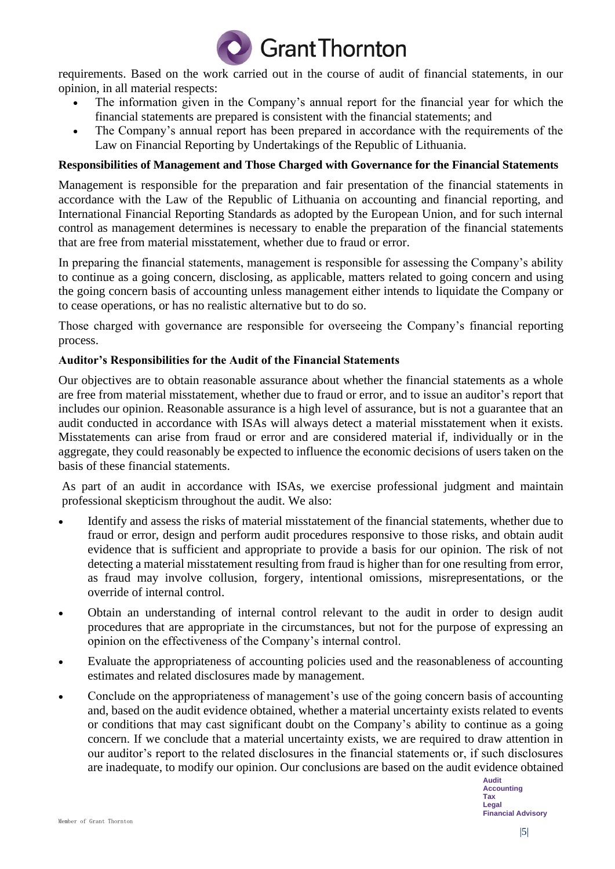

requirements. Based on the work carried out in the course of audit of financial statements, in our opinion, in all material respects:

- The information given in the Company's annual report for the financial year for which the financial statements are prepared is consistent with the financial statements; and
- The Company's annual report has been prepared in accordance with the requirements of the Law on Financial Reporting by Undertakings of the Republic of Lithuania.

#### **Responsibilities of Management and Those Charged with Governance for the Financial Statements**

Management is responsible for the preparation and fair presentation of the financial statements in accordance with the Law of the Republic of Lithuania on accounting and financial reporting, and International Financial Reporting Standards as adopted by the European Union, and for such internal control as management determines is necessary to enable the preparation of the financial statements that are free from material misstatement, whether due to fraud or error.

In preparing the financial statements, management is responsible for assessing the Company's ability to continue as a going concern, disclosing, as applicable, matters related to going concern and using the going concern basis of accounting unless management either intends to liquidate the Company or to cease operations, or has no realistic alternative but to do so.

Those charged with governance are responsible for overseeing the Company's financial reporting process.

#### **Auditor's Responsibilities for the Audit of the Financial Statements**

Our objectives are to obtain reasonable assurance about whether the financial statements as a whole are free from material misstatement, whether due to fraud or error, and to issue an auditor's report that includes our opinion. Reasonable assurance is a high level of assurance, but is not a guarantee that an audit conducted in accordance with ISAs will always detect a material misstatement when it exists. Misstatements can arise from fraud or error and are considered material if, individually or in the aggregate, they could reasonably be expected to influence the economic decisions of users taken on the basis of these financial statements.

As part of an audit in accordance with ISAs, we exercise professional judgment and maintain professional skepticism throughout the audit. We also:

- Identify and assess the risks of material misstatement of the financial statements, whether due to fraud or error, design and perform audit procedures responsive to those risks, and obtain audit evidence that is sufficient and appropriate to provide a basis for our opinion. The risk of not detecting a material misstatement resulting from fraud is higher than for one resulting from error, as fraud may involve collusion, forgery, intentional omissions, misrepresentations, or the override of internal control.
- Obtain an understanding of internal control relevant to the audit in order to design audit procedures that are appropriate in the circumstances, but not for the purpose of expressing an opinion on the effectiveness of the Company's internal control.
- Evaluate the appropriateness of accounting policies used and the reasonableness of accounting estimates and related disclosures made by management.
- Conclude on the appropriateness of management's use of the going concern basis of accounting and, based on the audit evidence obtained, whether a material uncertainty exists related to events or conditions that may cast significant doubt on the Company's ability to continue as a going concern. If we conclude that a material uncertainty exists, we are required to draw attention in our auditor's report to the related disclosures in the financial statements or, if such disclosures are inadequate, to modify our opinion. Our conclusions are based on the audit evidence obtained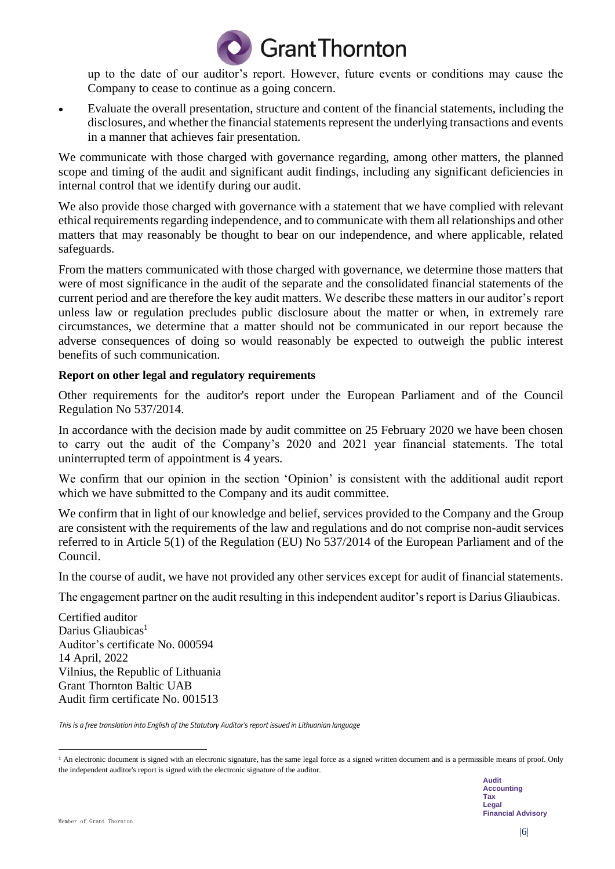

up to the date of our auditor's report. However, future events or conditions may cause the Company to cease to continue as a going concern.

• Evaluate the overall presentation, structure and content of the financial statements, including the disclosures, and whether the financial statements represent the underlying transactions and events in a manner that achieves fair presentation.

We communicate with those charged with governance regarding, among other matters, the planned scope and timing of the audit and significant audit findings, including any significant deficiencies in internal control that we identify during our audit.

We also provide those charged with governance with a statement that we have complied with relevant ethical requirements regarding independence, and to communicate with them all relationships and other matters that may reasonably be thought to bear on our independence, and where applicable, related safeguards.

From the matters communicated with those charged with governance, we determine those matters that were of most significance in the audit of the separate and the consolidated financial statements of the current period and are therefore the key audit matters. We describe these matters in our auditor's report unless law or regulation precludes public disclosure about the matter or when, in extremely rare circumstances, we determine that a matter should not be communicated in our report because the adverse consequences of doing so would reasonably be expected to outweigh the public interest benefits of such communication.

#### **Report on other legal and regulatory requirements**

Other requirements for the auditor's report under the European Parliament and of the Council Regulation No 537/2014.

In accordance with the decision made by audit committee on 25 February 2020 we have been chosen to carry out the audit of the Company's 2020 and 2021 year financial statements. The total uninterrupted term of appointment is 4 years.

We confirm that our opinion in the section 'Opinion' is consistent with the additional audit report which we have submitted to the Company and its audit committee.

We confirm that in light of our knowledge and belief, services provided to the Company and the Group are consistent with the requirements of the law and regulations and do not comprise non-audit services referred to in Article 5(1) of the Regulation (EU) No 537/2014 of the European Parliament and of the Council.

In the course of audit, we have not provided any other services except for audit of financial statements.

The engagement partner on the audit resulting in this independent auditor's report is Darius Gliaubicas.

Certified auditor Darius Gliaubicas<sup>1</sup> Auditor's certificate No. 000594 14 April, 2022 Vilnius, the Republic of Lithuania Grant Thornton Baltic UAB Audit firm certificate No. 001513

*This is a free translation into English of the Statutory Auditor's report issued in Lithuanian language*

<sup>&</sup>lt;sup>1</sup> An electronic document is signed with an electronic signature, has the same legal force as a signed written document and is a permissible means of proof. Only the independent auditor's report is signed with the electronic signature of the auditor.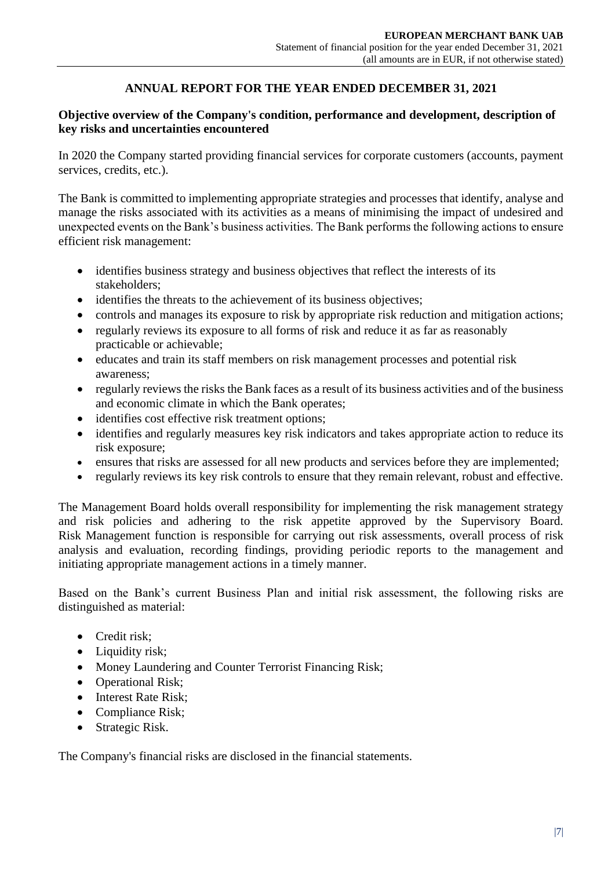# **ANNUAL REPORT FOR THE YEAR ENDED DECEMBER 31, 2021**

### <span id="page-6-0"></span>**Objective overview of the Company's condition, performance and development, description of key risks and uncertainties encountered**

In 2020 the Company started providing financial services for corporate customers (accounts, payment services, credits, etc.).

The Bank is committed to implementing appropriate strategies and processes that identify, analyse and manage the risks associated with its activities as a means of minimising the impact of undesired and unexpected events on the Bank's business activities. The Bank performs the following actions to ensure efficient risk management:

- identifies business strategy and business objectives that reflect the interests of its stakeholders;
- identifies the threats to the achievement of its business objectives;
- controls and manages its exposure to risk by appropriate risk reduction and mitigation actions;
- regularly reviews its exposure to all forms of risk and reduce it as far as reasonably practicable or achievable;
- educates and train its staff members on risk management processes and potential risk awareness;
- regularly reviews the risks the Bank faces as a result of its business activities and of the business and economic climate in which the Bank operates;
- identifies cost effective risk treatment options;
- identifies and regularly measures key risk indicators and takes appropriate action to reduce its risk exposure;
- ensures that risks are assessed for all new products and services before they are implemented;
- regularly reviews its key risk controls to ensure that they remain relevant, robust and effective.

The Management Board holds overall responsibility for implementing the risk management strategy and risk policies and adhering to the risk appetite approved by the Supervisory Board. Risk Management function is responsible for carrying out risk assessments, overall process of risk analysis and evaluation, recording findings, providing periodic reports to the management and initiating appropriate management actions in a timely manner.

Based on the Bank's current Business Plan and initial risk assessment, the following risks are distinguished as material:

- Credit risk;
- Liquidity risk:
- Money Laundering and Counter Terrorist Financing Risk;
- Operational Risk;
- Interest Rate Risk:
- Compliance Risk;
- Strategic Risk.

The Company's financial risks are disclosed in the financial statements.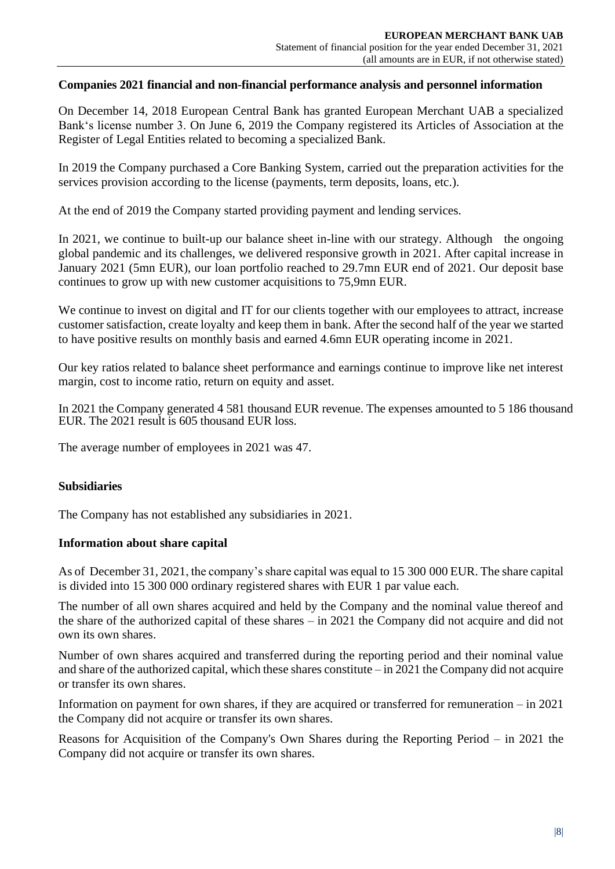### **Companies 2021 financial and non-financial performance analysis and personnel information**

On December 14, 2018 European Central Bank has granted European Merchant UAB a specialized Bank's license number 3. On June 6, 2019 the Company registered its Articles of Association at the Register of Legal Entities related to becoming a specialized Bank.

In 2019 the Company purchased a Core Banking System, carried out the preparation activities for the services provision according to the license (payments, term deposits, loans, etc.).

At the end of 2019 the Company started providing payment and lending services.

In 2021, we continue to built-up our balance sheet in-line with our strategy. Although the ongoing global pandemic and its challenges, we delivered responsive growth in 2021. After capital increase in January 2021 (5mn EUR), our loan portfolio reached to 29.7mn EUR end of 2021. Our deposit base continues to grow up with new customer acquisitions to 75,9mn EUR.

We continue to invest on digital and IT for our clients together with our employees to attract, increase customer satisfaction, create loyalty and keep them in bank. After the second half of the year we started to have positive results on monthly basis and earned 4.6mn EUR operating income in 2021.

Our key ratios related to balance sheet performance and earnings continue to improve like net interest margin, cost to income ratio, return on equity and asset.

In 2021 the Company generated 4 581 thousand EUR revenue. The expenses amounted to 5 186 thousand EUR. The 2021 result is 605 thousand EUR loss.

The average number of employees in 2021 was 47.

### **Subsidiaries**

The Company has not established any subsidiaries in 2021.

#### **Information about share capital**

As of December 31, 2021, the company's share capital was equal to 15 300 000 EUR. The share capital is divided into 15 300 000 ordinary registered shares with EUR 1 par value each.

The number of all own shares acquired and held by the Company and the nominal value thereof and the share of the authorized capital of these shares – in 2021 the Company did not acquire and did not own its own shares.

Number of own shares acquired and transferred during the reporting period and their nominal value and share of the authorized capital, which these shares constitute – in 2021 the Company did not acquire or transfer its own shares.

Information on payment for own shares, if they are acquired or transferred for remuneration – in 2021 the Company did not acquire or transfer its own shares.

Reasons for Acquisition of the Company's Own Shares during the Reporting Period – in 2021 the Company did not acquire or transfer its own shares.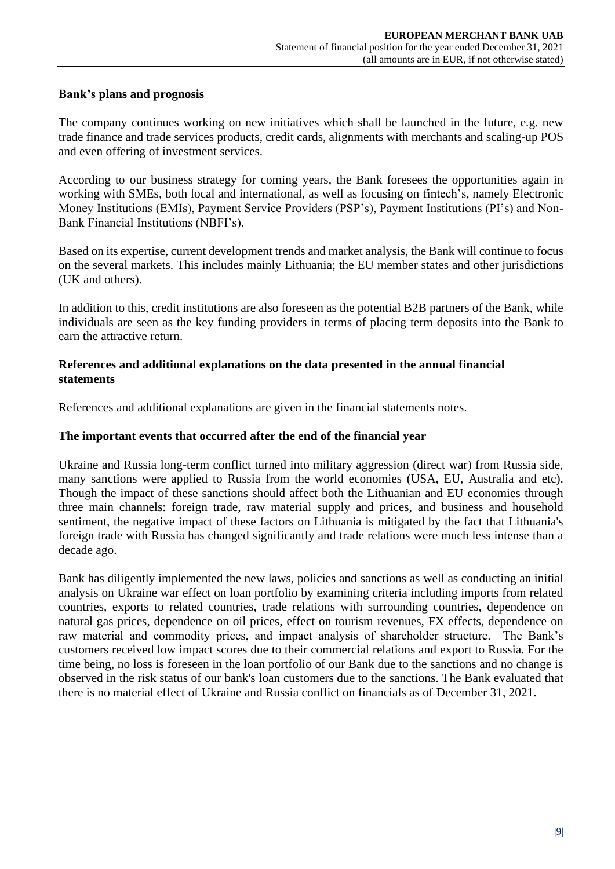### **Bank's plans and prognosis**

The company continues working on new initiatives which shall be launched in the future, e.g. new trade finance and trade services products, credit cards, alignments with merchants and scaling-up POS and even offering of investment services.

According to our business strategy for coming years, the Bank foresees the opportunities again in working with SMEs, both local and international, as well as focusing on fintech's, namely Electronic Money Institutions (EMIs), Payment Service Providers (PSP's), Payment Institutions (PI's) and Non-Bank Financial Institutions (NBFI's).

Based on its expertise, current development trends and market analysis, the Bank will continue to focus on the several markets. This includes mainly Lithuania; the EU member states and other jurisdictions (UK and others).

In addition to this, credit institutions are also foreseen as the potential B2B partners of the Bank, while individuals are seen as the key funding providers in terms of placing term deposits into the Bank to earn the attractive return.

#### **References and additional explanations on the data presented in the annual financial statements**

References and additional explanations are given in the financial statements notes.

#### **The important events that occurred after the end of the financial year**

Ukraine and Russia long-term conflict turned into military aggression (direct war) from Russia side, many sanctions were applied to Russia from the world economies (USA, EU, Australia and etc). Though the impact of these sanctions should affect both the Lithuanian and EU economies through three main channels: foreign trade, raw material supply and prices, and business and household sentiment, the negative impact of these factors on Lithuania is mitigated by the fact that Lithuania's foreign trade with Russia has changed significantly and trade relations were much less intense than a decade ago.

Bank has diligently implemented the new laws, policies and sanctions as well as conducting an initial analysis on Ukraine war effect on loan portfolio by examining criteria including imports from related countries, exports to related countries, trade relations with surrounding countries, dependence on natural gas prices, dependence on oil prices, effect on tourism revenues, FX effects, dependence on raw material and commodity prices, and impact analysis of shareholder structure. The Bank's customers received low impact scores due to their commercial relations and export to Russia. For the time being, no loss is foreseen in the loan portfolio of our Bank due to the sanctions and no change is observed in the risk status of our bank's loan customers due to the sanctions. The Bank evaluated that there is no material effect of Ukraine and Russia conflict on financials as of December 31, 2021.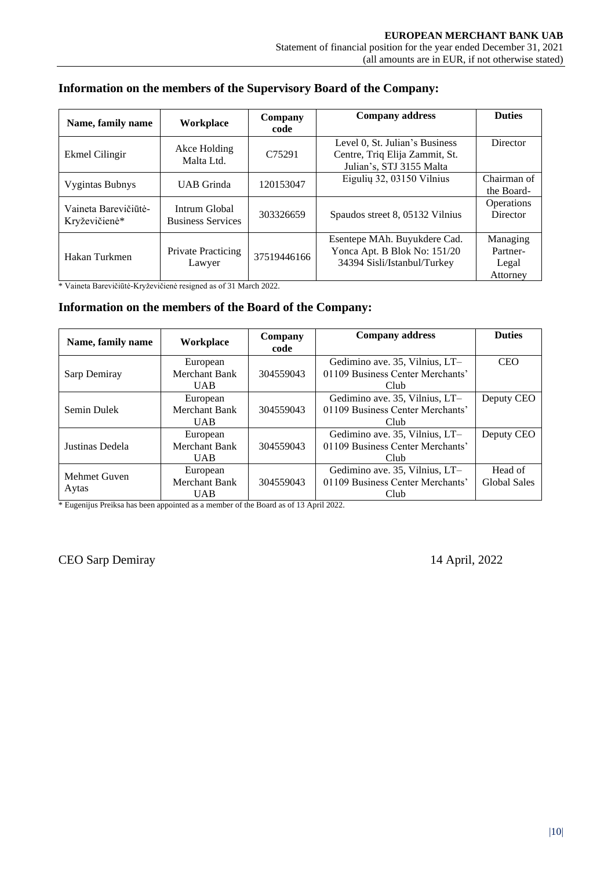#### **Name, family name Workplace Company code Company address Duties** Ekmel Cilingir Akce Holding Malta Ltd. C75291 Level 0, St. Julian's Business Centre, Triq Elija Zammit, St. Julian's, STJ 3155 Malta **Director** Vygintas Bubnys UAB Grinda <sup>120153047</sup> Eigulių 32, 03150 Vilnius Chairman of the Board-Vaineta Barevičiūtė-Kryževičienė\* Intrum Global<br>Business Services 303326659 Spaudos street 8, 05132 Vilnius **Operations Director** Hakan Turkmen Private Practicing<br>Lawyer 37519446166 Esentepe MAh. Buyukdere Cad. Yonca Apt. B Blok No: 151/20 34394 Sisli/Istanbul/Turkey Managing Partner-Legal Attorney

# **Information on the members of the Supervisory Board of the Company:**

\* Vaineta Barevičiūtė-Kryževičienė resigned as of 31 March 2022.

# **Information on the members of the Board of the Company:**

| Name, family name     | Workplace                               | Company<br>code | <b>Company address</b>                                                      |                                |
|-----------------------|-----------------------------------------|-----------------|-----------------------------------------------------------------------------|--------------------------------|
| Sarp Demiray          | European<br>Merchant Bank<br><b>UAB</b> | 304559043       | Gedimino ave. 35, Vilnius, LT-<br>01109 Business Center Merchants'<br>Club. | <b>CEO</b>                     |
| Semin Dulek           | European<br>Merchant Bank<br><b>UAB</b> | 304559043       | Gedimino ave. 35, Vilnius, LT-<br>01109 Business Center Merchants'<br>Club  | Deputy CEO                     |
| Justinas Dedela       | European<br>Merchant Bank<br><b>UAB</b> | 304559043       | Gedimino ave. 35, Vilnius, LT-<br>01109 Business Center Merchants'<br>Club  | Deputy CEO                     |
| Mehmet Guven<br>Aytas | European<br>Merchant Bank<br><b>UAB</b> | 304559043       | Gedimino ave. 35, Vilnius, LT-<br>01109 Business Center Merchants'<br>Club  | Head of<br><b>Global Sales</b> |

\* Eugenijus Preiksa has been appointed as a member of the Board as of 13 April 2022.

# CEO Sarp Demiray 14 April, 2022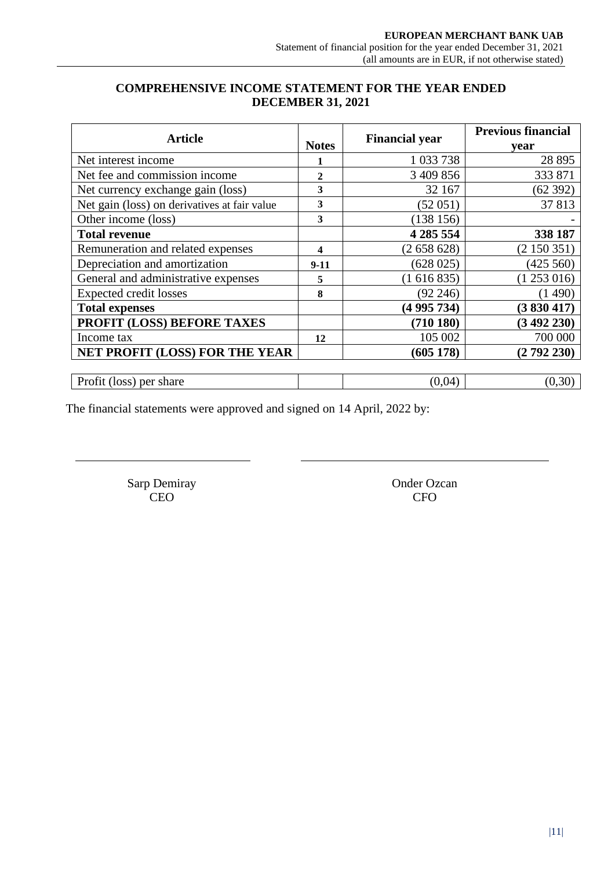# **COMPREHENSIVE INCOME STATEMENT FOR THE YEAR ENDED DECEMBER 31, 2021**

<span id="page-10-0"></span>

| <b>Article</b>                               |              | <b>Financial year</b> | <b>Previous financial</b> |
|----------------------------------------------|--------------|-----------------------|---------------------------|
|                                              | <b>Notes</b> |                       | vear                      |
| Net interest income                          |              | 1 033 738             | 28 8 95                   |
| Net fee and commission income                | $\mathbf{2}$ | 3 409 856             | 333 871                   |
| Net currency exchange gain (loss)            | 3            | 32 167                | (62 392)                  |
| Net gain (loss) on derivatives at fair value | 3            | (52051)               | 37813                     |
| Other income (loss)                          | 3            | (138156)              |                           |
| <b>Total revenue</b>                         |              | 4 285 554             | 338 187                   |
| Remuneration and related expenses            | 4            | (2658628)             | (2150351)                 |
| Depreciation and amortization                | $9-11$       | (628025)              | (425 560)                 |
| General and administrative expenses          | 5            | (1616835)             | (1253016)                 |
| <b>Expected credit losses</b>                | 8            | (92246)               | (1490)                    |
| <b>Total expenses</b>                        |              | (4995734)             | (3830417)                 |
| PROFIT (LOSS) BEFORE TAXES                   |              | (710180)              | (3492230)                 |
| Income tax                                   | 12           | 105 002               | 700 000                   |
| NET PROFIT (LOSS) FOR THE YEAR               |              | (605178)              | (2792230)                 |
|                                              |              |                       |                           |
| Profit (loss) per share                      |              | (0,04)                | (0, 30)                   |

The financial statements were approved and signed on 14 April, 2022 by:

Sarp Demiray CEO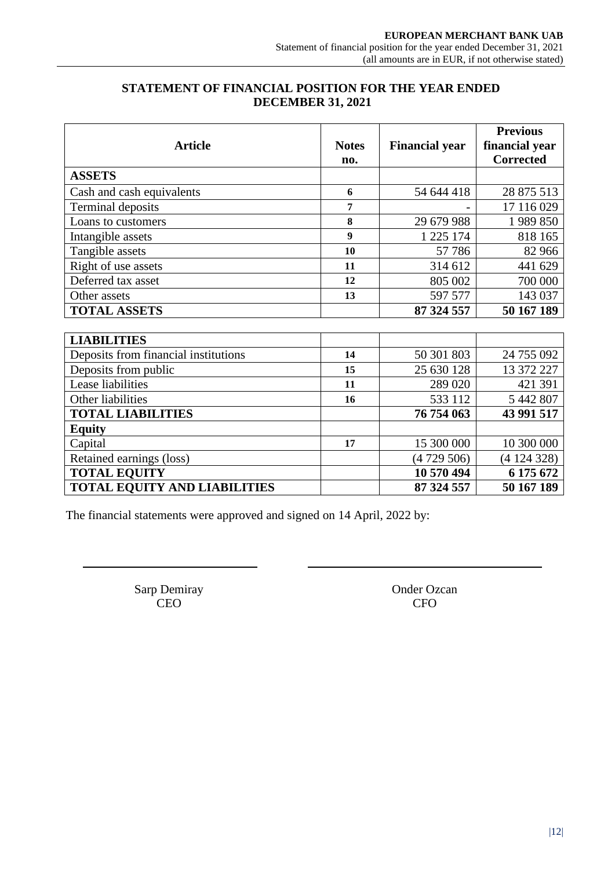# **STATEMENT OF FINANCIAL POSITION FOR THE YEAR ENDED DECEMBER 31, 2021**

<span id="page-11-0"></span>

|                                      |              |                       | <b>Previous</b>  |
|--------------------------------------|--------------|-----------------------|------------------|
| <b>Article</b>                       | <b>Notes</b> | <b>Financial year</b> | financial year   |
|                                      | no.          |                       | <b>Corrected</b> |
| <b>ASSETS</b>                        |              |                       |                  |
| Cash and cash equivalents            | 6            | 54 644 418            | 28 875 513       |
| <b>Terminal deposits</b>             | 7            |                       | 17 116 029       |
| Loans to customers                   | 8            | 29 679 988            | 1989 850         |
| Intangible assets                    | 9            | 1 225 174             | 818 165          |
| Tangible assets                      | 10           | 57 786                | 82 966           |
| Right of use assets                  | 11           | 314 612               | 441 629          |
| Deferred tax asset                   | 12           | 805 002               | 700 000          |
| Other assets                         | 13           | 597 577               | 143 037          |
| <b>TOTAL ASSETS</b>                  |              | 87 324 557            | 50 167 189       |
|                                      |              |                       |                  |
| <b>LIABILITIES</b>                   |              |                       |                  |
| Deposits from financial institutions | 14           | 50 301 803            | 24 755 092       |
| Deposits from public                 | 15           | 25 630 128            | 13 372 227       |
| Lease liabilities                    | 11           | 289 020               | 421 391          |
| Other liabilities                    | 16           | 533 112               | 5 442 807        |
| <b>TOTAL LIABILITIES</b>             |              | 76 754 063            | 43 991 517       |
| <b>Equity</b>                        |              |                       |                  |
| Capital                              | 17           | 15 300 000            | 10 300 000       |
| Retained earnings (loss)             |              | (4729506)             | (4124328)        |
| <b>TOTAL EQUITY</b>                  |              | 10 570 494            | 6 175 672        |
| <b>TOTAL EQUITY AND LIABILITIES</b>  |              | 87 324 557            | 50 167 189       |

The financial statements were approved and signed on 14 April, 2022 by:

Sarp Demiray CEO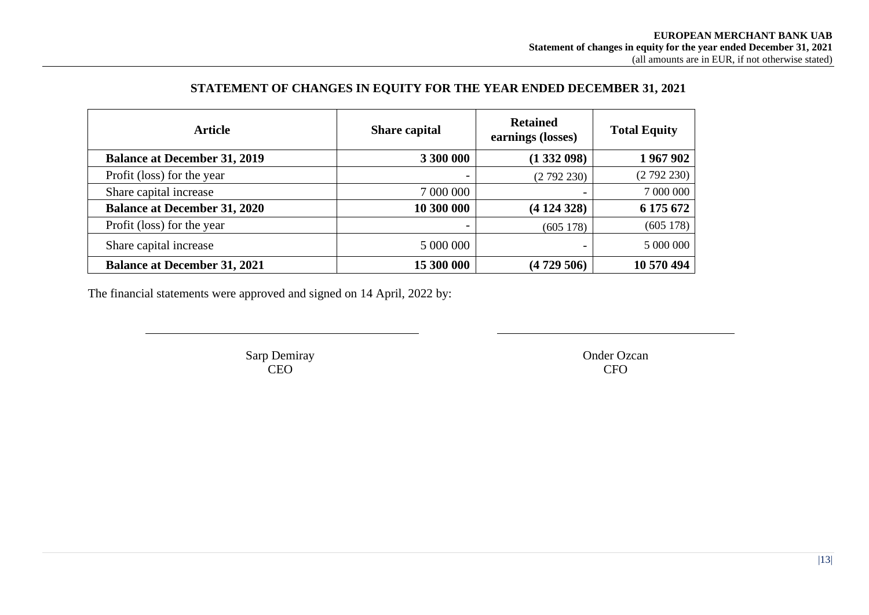### **STATEMENT OF CHANGES IN EQUITY FOR THE YEAR ENDED DECEMBER 31, 2021**

| <b>Article</b>                      | <b>Share capital</b> | <b>Retained</b><br>earnings (losses) | <b>Total Equity</b> |
|-------------------------------------|----------------------|--------------------------------------|---------------------|
| <b>Balance at December 31, 2019</b> | 3 300 000            | (1332098)                            | 1967902             |
| Profit (loss) for the year          |                      | (2792230)                            | (2792230)           |
| Share capital increase              | 7 000 000            |                                      | 7 000 000           |
| <b>Balance at December 31, 2020</b> | 10 300 000           | (4124328)                            | 6 175 672           |
| Profit (loss) for the year          |                      | (605178)                             | (605178)            |
| Share capital increase              | 5 000 000            |                                      | 5 000 000           |
| <b>Balance at December 31, 2021</b> | 15 300 000           | (4729506)                            | 10 570 494          |

<span id="page-12-0"></span>The financial statements were approved and signed on 14 April, 2022 by:

Sarp Demiray CEO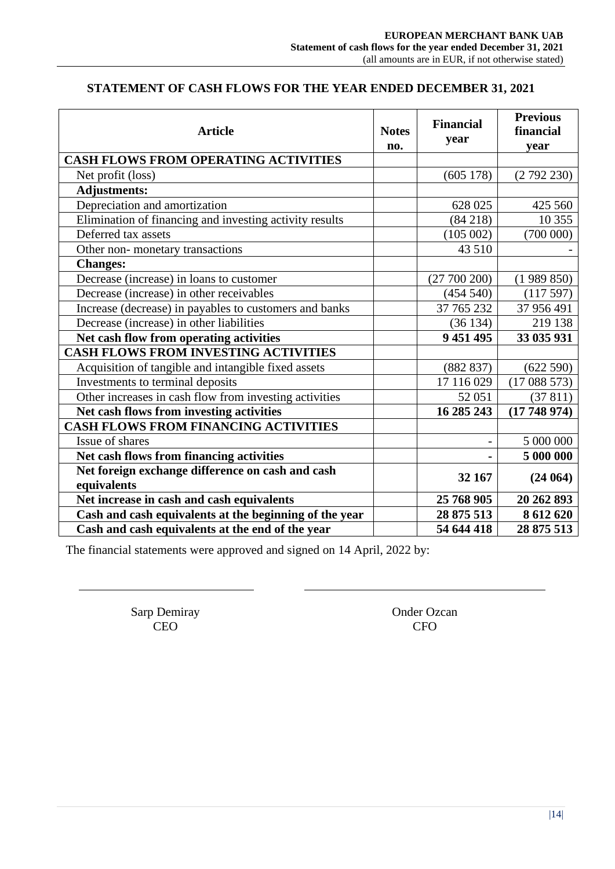# **STATEMENT OF CASH FLOWS FOR THE YEAR ENDED DECEMBER 31, 2021**

<span id="page-13-0"></span>

| <b>Article</b>                                                  | <b>Notes</b><br>no. | <b>Financial</b><br>year | <b>Previous</b><br>financial<br>vear |
|-----------------------------------------------------------------|---------------------|--------------------------|--------------------------------------|
| CASH FLOWS FROM OPERATING ACTIVITIES                            |                     |                          |                                      |
| Net profit (loss)                                               |                     | (605178)                 | (2792230)                            |
| <b>Adjustments:</b>                                             |                     |                          |                                      |
| Depreciation and amortization                                   |                     | 628 025                  | 425 560                              |
| Elimination of financing and investing activity results         |                     | (84218)                  | 10 355                               |
| Deferred tax assets                                             |                     | (105002)                 | (700000)                             |
| Other non- monetary transactions                                |                     | 43 510                   |                                      |
| <b>Changes:</b>                                                 |                     |                          |                                      |
| Decrease (increase) in loans to customer                        |                     | (27700200)               | (1989850)                            |
| Decrease (increase) in other receivables                        |                     | (454540)                 | (117597)                             |
| Increase (decrease) in payables to customers and banks          |                     | 37 765 232               | 37 956 491                           |
| Decrease (increase) in other liabilities                        |                     | (36134)                  | 219 138                              |
| Net cash flow from operating activities                         |                     | 9 451 495                | 33 035 931                           |
| <b>CASH FLOWS FROM INVESTING ACTIVITIES</b>                     |                     |                          |                                      |
| Acquisition of tangible and intangible fixed assets             |                     | (882 837)                | (622590)                             |
| Investments to terminal deposits                                |                     | 17 116 029               | (17088573)                           |
| Other increases in cash flow from investing activities          |                     | 52 051                   | (37811)                              |
| Net cash flows from investing activities                        |                     | 16 285 243               | (17748974)                           |
| <b>CASH FLOWS FROM FINANCING ACTIVITIES</b>                     |                     |                          |                                      |
| Issue of shares                                                 |                     |                          | 5 000 000                            |
| Net cash flows from financing activities                        |                     |                          | 5 000 000                            |
| Net foreign exchange difference on cash and cash<br>equivalents |                     | 32 167                   | (24064)                              |
| Net increase in cash and cash equivalents                       |                     | 25 768 905               | 20 262 893                           |
| Cash and cash equivalents at the beginning of the year          |                     | 28 875 513               | 8 612 620                            |
| Cash and cash equivalents at the end of the year                |                     | 54 644 418               | 28 875 513                           |

The financial statements were approved and signed on 14 April, 2022 by:

Sarp Demiray CEO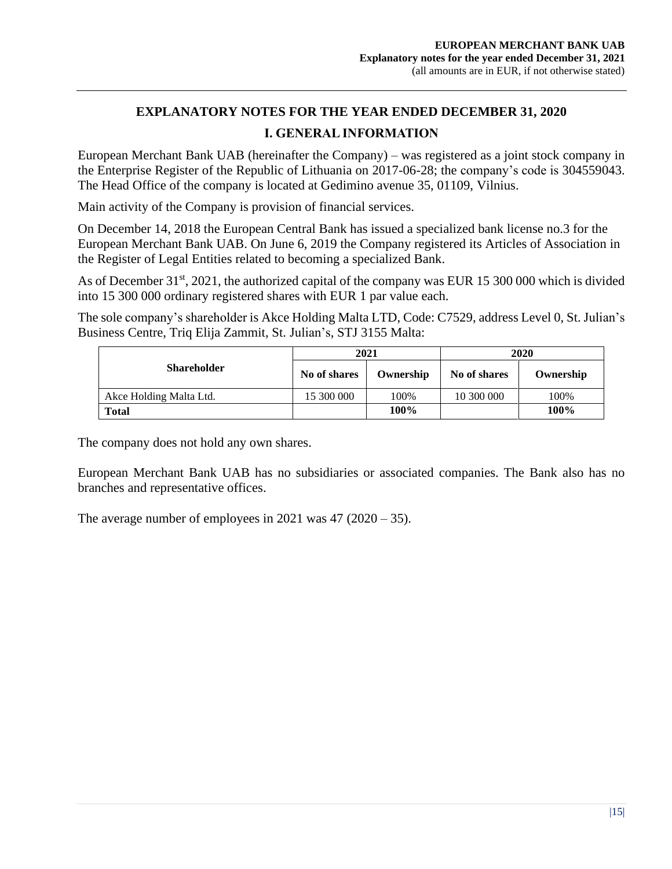# **EXPLANATORY NOTES FOR THE YEAR ENDED DECEMBER 31, 2020 I. GENERAL INFORMATION**

<span id="page-14-0"></span>European Merchant Bank UAB (hereinafter the Company) – was registered as a joint stock company in the Enterprise Register of the Republic of Lithuania on 2017-06-28; the company's code is 304559043. The Head Office of the company is located at Gedimino avenue 35, 01109, Vilnius.

Main activity of the Company is provision of financial services.

On December 14, 2018 the European Central Bank has issued a specialized bank license no.3 for the European Merchant Bank UAB. On June 6, 2019 the Company registered its Articles of Association in the Register of Legal Entities related to becoming a specialized Bank.

As of December 31<sup>st</sup>, 2021, the authorized capital of the company was EUR 15 300 000 which is divided into 15 300 000 ordinary registered shares with EUR 1 par value each.

The sole company's shareholder is Akce Holding Malta LTD, Code: C7529, address Level 0, St. Julian's Business Centre, Triq Elija Zammit, St. Julian's, STJ 3155 Malta:

|                         | 2021         |           | 2020         |           |
|-------------------------|--------------|-----------|--------------|-----------|
| <b>Shareholder</b>      | No of shares | Ownership | No of shares | Ownership |
| Akce Holding Malta Ltd. | 15 300 000   | 100%      | 10 300 000   | 100%      |
| <b>Total</b>            |              | 100%      |              | 100%      |

The company does not hold any own shares.

European Merchant Bank UAB has no subsidiaries or associated companies. The Bank also has no branches and representative offices.

The average number of employees in  $2021$  was  $47$   $(2020 - 35)$ .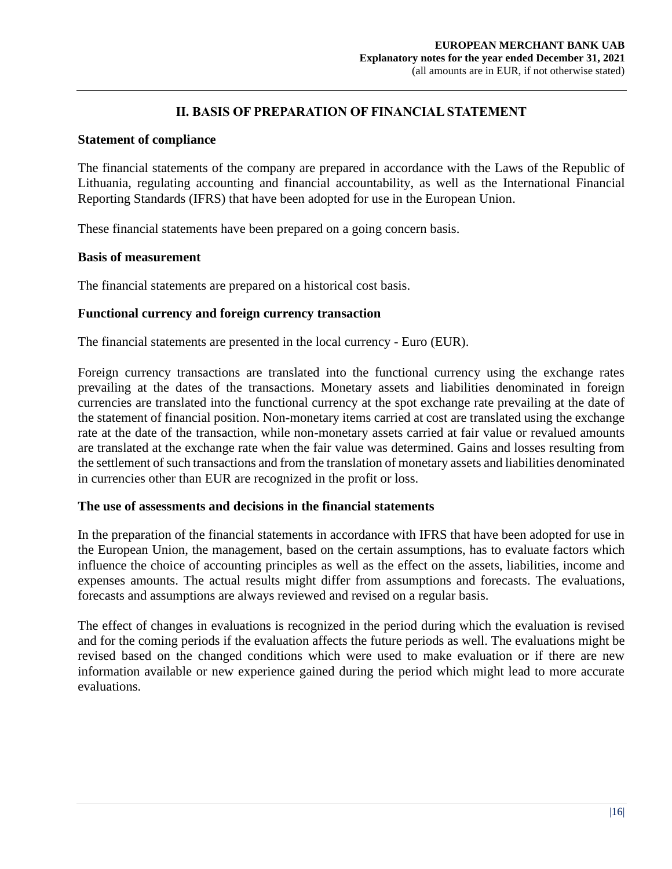### **II. BASIS OF PREPARATION OF FINANCIAL STATEMENT**

#### **Statement of compliance**

The financial statements of the company are prepared in accordance with the Laws of the Republic of Lithuania, regulating accounting and financial accountability, as well as the International Financial Reporting Standards (IFRS) that have been adopted for use in the European Union.

These financial statements have been prepared on a going concern basis.

#### **Basis of measurement**

The financial statements are prepared on a historical cost basis.

#### **Functional currency and foreign currency transaction**

The financial statements are presented in the local currency - Euro (EUR).

Foreign currency transactions are translated into the functional currency using the exchange rates prevailing at the dates of the transactions. Monetary assets and liabilities denominated in foreign currencies are translated into the functional currency at the spot exchange rate prevailing at the date of the statement of financial position. Non-monetary items carried at cost are translated using the exchange rate at the date of the transaction, while non-monetary assets carried at fair value or revalued amounts are translated at the exchange rate when the fair value was determined. Gains and losses resulting from the settlement of such transactions and from the translation of monetary assets and liabilities denominated in currencies other than EUR are recognized in the profit or loss.

#### **The use of assessments and decisions in the financial statements**

In the preparation of the financial statements in accordance with IFRS that have been adopted for use in the European Union, the management, based on the certain assumptions, has to evaluate factors which influence the choice of accounting principles as well as the effect on the assets, liabilities, income and expenses amounts. The actual results might differ from assumptions and forecasts. The evaluations, forecasts and assumptions are always reviewed and revised on a regular basis.

The effect of changes in evaluations is recognized in the period during which the evaluation is revised and for the coming periods if the evaluation affects the future periods as well. The evaluations might be revised based on the changed conditions which were used to make evaluation or if there are new information available or new experience gained during the period which might lead to more accurate evaluations.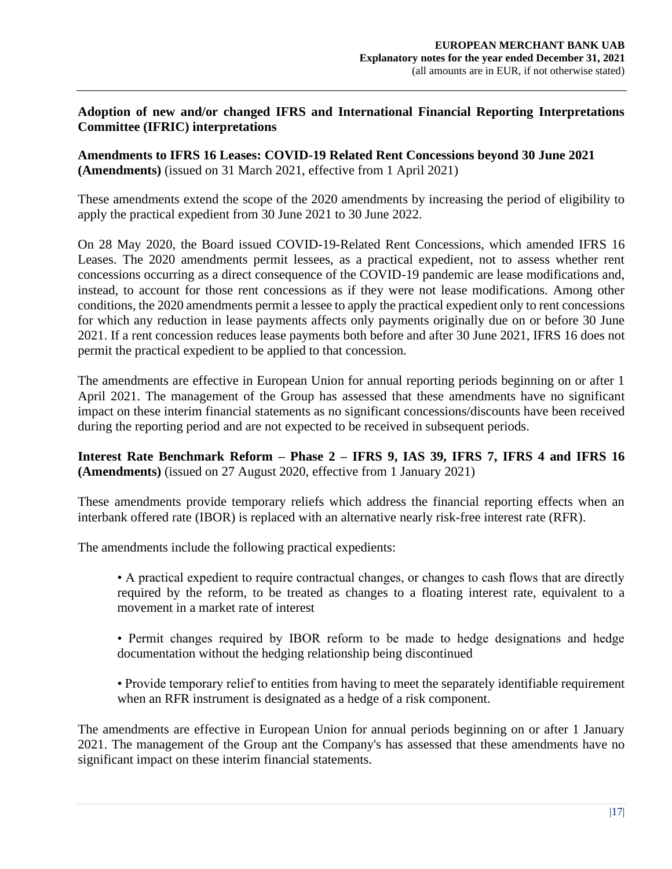### **Adoption of new and/or changed IFRS and International Financial Reporting Interpretations Committee (IFRIC) interpretations**

**Amendments to IFRS 16 Leases: COVID-19 Related Rent Concessions beyond 30 June 2021 (Amendments)** (issued on 31 March 2021, effective from 1 April 2021)

These amendments extend the scope of the 2020 amendments by increasing the period of eligibility to apply the practical expedient from 30 June 2021 to 30 June 2022.

On 28 May 2020, the Board issued COVID-19-Related Rent Concessions, which amended IFRS 16 Leases. The 2020 amendments permit lessees, as a practical expedient, not to assess whether rent concessions occurring as a direct consequence of the COVID-19 pandemic are lease modifications and, instead, to account for those rent concessions as if they were not lease modifications. Among other conditions, the 2020 amendments permit a lessee to apply the practical expedient only to rent concessions for which any reduction in lease payments affects only payments originally due on or before 30 June 2021. If a rent concession reduces lease payments both before and after 30 June 2021, IFRS 16 does not permit the practical expedient to be applied to that concession.

The amendments are effective in European Union for annual reporting periods beginning on or after 1 April 2021. The management of the Group has assessed that these amendments have no significant impact on these interim financial statements as no significant concessions/discounts have been received during the reporting period and are not expected to be received in subsequent periods.

**Interest Rate Benchmark Reform – Phase 2 – IFRS 9, IAS 39, IFRS 7, IFRS 4 and IFRS 16 (Amendments)** (issued on 27 August 2020, effective from 1 January 2021)

These amendments provide temporary reliefs which address the financial reporting effects when an interbank offered rate (IBOR) is replaced with an alternative nearly risk-free interest rate (RFR).

The amendments include the following practical expedients:

• A practical expedient to require contractual changes, or changes to cash flows that are directly required by the reform, to be treated as changes to a floating interest rate, equivalent to a movement in a market rate of interest

• Permit changes required by IBOR reform to be made to hedge designations and hedge documentation without the hedging relationship being discontinued

• Provide temporary relief to entities from having to meet the separately identifiable requirement when an RFR instrument is designated as a hedge of a risk component.

The amendments are effective in European Union for annual periods beginning on or after 1 January 2021. The management of the Group ant the Company's has assessed that these amendments have no significant impact on these interim financial statements.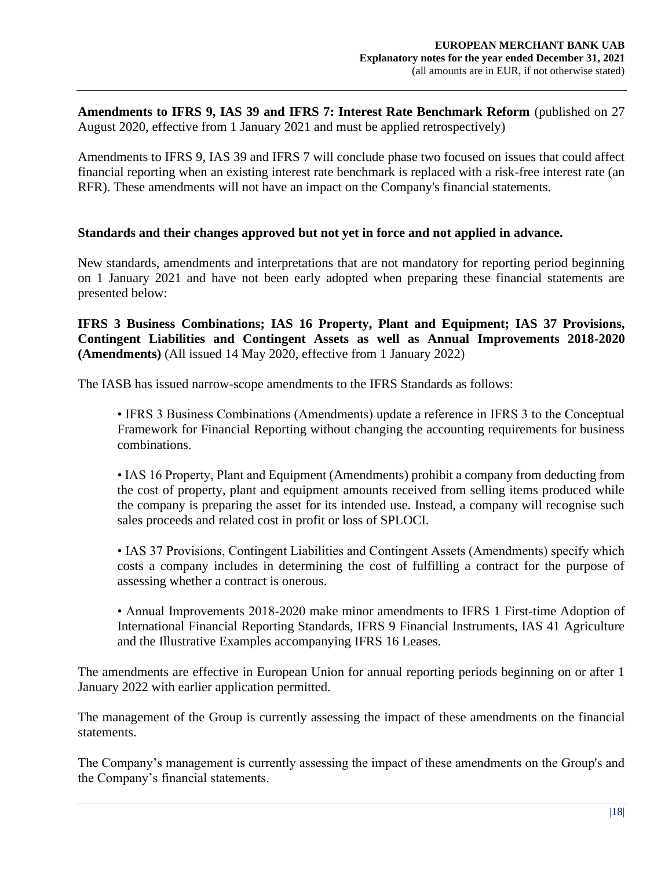**Amendments to IFRS 9, IAS 39 and IFRS 7: Interest Rate Benchmark Reform** (published on 27 August 2020, effective from 1 January 2021 and must be applied retrospectively)

Amendments to IFRS 9, IAS 39 and IFRS 7 will conclude phase two focused on issues that could affect financial reporting when an existing interest rate benchmark is replaced with a risk-free interest rate (an RFR). These amendments will not have an impact on the Company's financial statements.

### **Standards and their changes approved but not yet in force and not applied in advance.**

New standards, amendments and interpretations that are not mandatory for reporting period beginning on 1 January 2021 and have not been early adopted when preparing these financial statements are presented below:

**IFRS 3 Business Combinations; IAS 16 Property, Plant and Equipment; IAS 37 Provisions, Contingent Liabilities and Contingent Assets as well as Annual Improvements 2018-2020 (Amendments)** (All issued 14 May 2020, effective from 1 January 2022)

The IASB has issued narrow-scope amendments to the IFRS Standards as follows:

• IFRS 3 Business Combinations (Amendments) update a reference in IFRS 3 to the Conceptual Framework for Financial Reporting without changing the accounting requirements for business combinations.

• IAS 16 Property, Plant and Equipment (Amendments) prohibit a company from deducting from the cost of property, plant and equipment amounts received from selling items produced while the company is preparing the asset for its intended use. Instead, a company will recognise such sales proceeds and related cost in profit or loss of SPLOCI.

• IAS 37 Provisions, Contingent Liabilities and Contingent Assets (Amendments) specify which costs a company includes in determining the cost of fulfilling a contract for the purpose of assessing whether a contract is onerous.

• Annual Improvements 2018-2020 make minor amendments to IFRS 1 First-time Adoption of International Financial Reporting Standards, IFRS 9 Financial Instruments, IAS 41 Agriculture and the Illustrative Examples accompanying IFRS 16 Leases.

The amendments are effective in European Union for annual reporting periods beginning on or after 1 January 2022 with earlier application permitted.

The management of the Group is currently assessing the impact of these amendments on the financial statements.

The Company's management is currently assessing the impact of these amendments on the Group's and the Company's financial statements.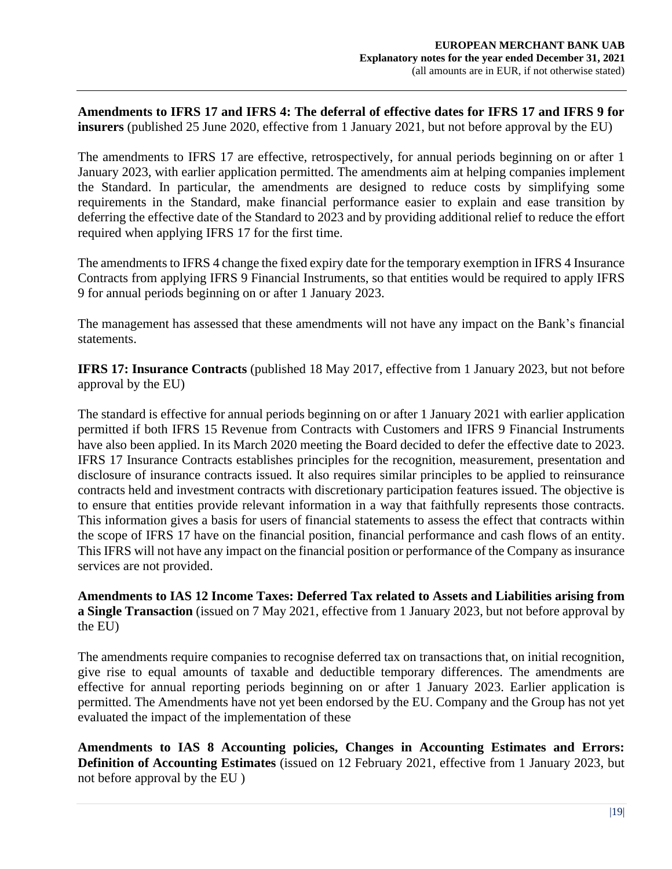**Amendments to IFRS 17 and IFRS 4: The deferral of effective dates for IFRS 17 and IFRS 9 for insurers** (published 25 June 2020, effective from 1 January 2021, but not before approval by the EU)

The amendments to IFRS 17 are effective, retrospectively, for annual periods beginning on or after 1 January 2023, with earlier application permitted. The amendments aim at helping companies implement the Standard. In particular, the amendments are designed to reduce costs by simplifying some requirements in the Standard, make financial performance easier to explain and ease transition by deferring the effective date of the Standard to 2023 and by providing additional relief to reduce the effort required when applying IFRS 17 for the first time.

The amendments to IFRS 4 change the fixed expiry date for the temporary exemption in IFRS 4 Insurance Contracts from applying IFRS 9 Financial Instruments, so that entities would be required to apply IFRS 9 for annual periods beginning on or after 1 January 2023.

The management has assessed that these amendments will not have any impact on the Bank's financial statements.

**IFRS 17: Insurance Contracts** (published 18 May 2017, effective from 1 January 2023, but not before approval by the EU)

The standard is effective for annual periods beginning on or after 1 January 2021 with earlier application permitted if both IFRS 15 Revenue from Contracts with Customers and IFRS 9 Financial Instruments have also been applied. In its March 2020 meeting the Board decided to defer the effective date to 2023. IFRS 17 Insurance Contracts establishes principles for the recognition, measurement, presentation and disclosure of insurance contracts issued. It also requires similar principles to be applied to reinsurance contracts held and investment contracts with discretionary participation features issued. The objective is to ensure that entities provide relevant information in a way that faithfully represents those contracts. This information gives a basis for users of financial statements to assess the effect that contracts within the scope of IFRS 17 have on the financial position, financial performance and cash flows of an entity. This IFRS will not have any impact on the financial position or performance of the Company as insurance services are not provided.

**Amendments to IAS 12 Income Taxes: Deferred Tax related to Assets and Liabilities arising from a Single Transaction** (issued on 7 May 2021, effective from 1 January 2023, but not before approval by the EU)

The amendments require companies to recognise deferred tax on transactions that, on initial recognition, give rise to equal amounts of taxable and deductible temporary differences. The amendments are effective for annual reporting periods beginning on or after 1 January 2023. Earlier application is permitted. The Amendments have not yet been endorsed by the EU. Company and the Group has not yet evaluated the impact of the implementation of these

**Amendments to IAS 8 Accounting policies, Changes in Accounting Estimates and Errors: Definition of Accounting Estimates** (issued on 12 February 2021, effective from 1 January 2023, but not before approval by the EU )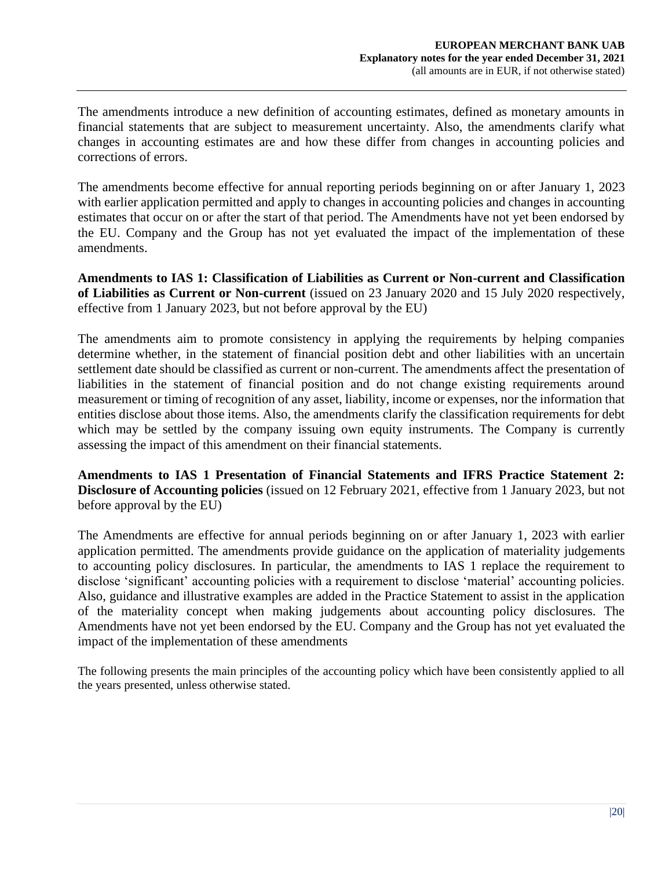The amendments introduce a new definition of accounting estimates, defined as monetary amounts in financial statements that are subject to measurement uncertainty. Also, the amendments clarify what changes in accounting estimates are and how these differ from changes in accounting policies and corrections of errors.

The amendments become effective for annual reporting periods beginning on or after January 1, 2023 with earlier application permitted and apply to changes in accounting policies and changes in accounting estimates that occur on or after the start of that period. The Amendments have not yet been endorsed by the EU. Company and the Group has not yet evaluated the impact of the implementation of these amendments.

**Amendments to IAS 1: Classification of Liabilities as Current or Non-current and Classification of Liabilities as Current or Non-current** (issued on 23 January 2020 and 15 July 2020 respectively, effective from 1 January 2023, but not before approval by the EU)

The amendments aim to promote consistency in applying the requirements by helping companies determine whether, in the statement of financial position debt and other liabilities with an uncertain settlement date should be classified as current or non-current. The amendments affect the presentation of liabilities in the statement of financial position and do not change existing requirements around measurement or timing of recognition of any asset, liability, income or expenses, nor the information that entities disclose about those items. Also, the amendments clarify the classification requirements for debt which may be settled by the company issuing own equity instruments. The Company is currently assessing the impact of this amendment on their financial statements.

**Amendments to IAS 1 Presentation of Financial Statements and IFRS Practice Statement 2: Disclosure of Accounting policies** (issued on 12 February 2021, effective from 1 January 2023, but not before approval by the EU)

The Amendments are effective for annual periods beginning on or after January 1, 2023 with earlier application permitted. The amendments provide guidance on the application of materiality judgements to accounting policy disclosures. In particular, the amendments to IAS 1 replace the requirement to disclose 'significant' accounting policies with a requirement to disclose 'material' accounting policies. Also, guidance and illustrative examples are added in the Practice Statement to assist in the application of the materiality concept when making judgements about accounting policy disclosures. The Amendments have not yet been endorsed by the EU. Company and the Group has not yet evaluated the impact of the implementation of these amendments

The following presents the main principles of the accounting policy which have been consistently applied to all the years presented, unless otherwise stated.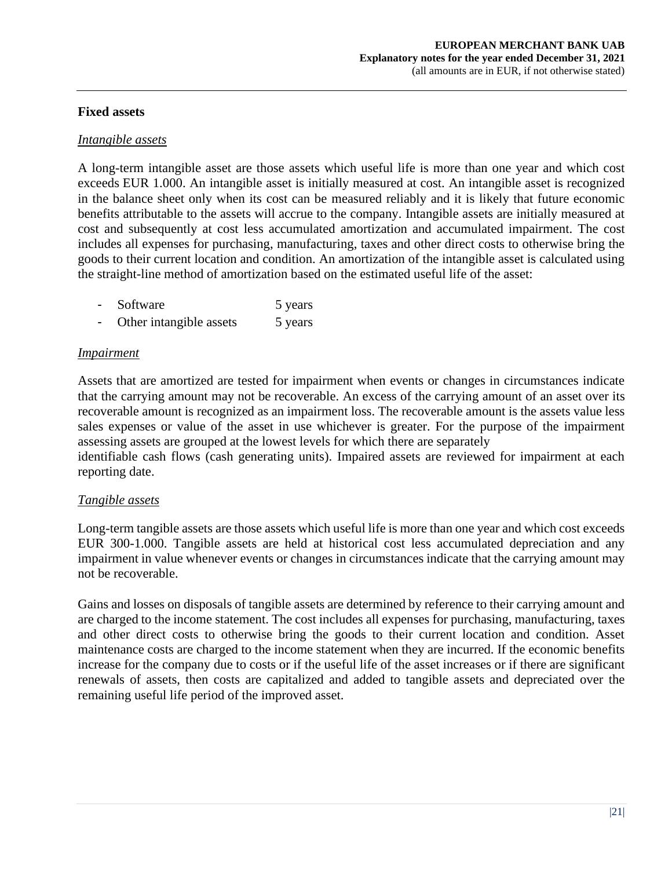### **Fixed assets**

#### *Intangible assets*

A long-term intangible asset are those assets which useful life is more than one year and which cost exceeds EUR 1.000. An intangible asset is initially measured at cost. An intangible asset is recognized in the balance sheet only when its cost can be measured reliably and it is likely that future economic benefits attributable to the assets will accrue to the company. Intangible assets are initially measured at cost and subsequently at cost less accumulated amortization and accumulated impairment. The cost includes all expenses for purchasing, manufacturing, taxes and other direct costs to otherwise bring the goods to their current location and condition. An amortization of the intangible asset is calculated using the straight-line method of amortization based on the estimated useful life of the asset:

| $\overline{\phantom{0}}$ | Software | 5 years |
|--------------------------|----------|---------|
|                          |          |         |

Other intangible assets 5 years

### *Impairment*

Assets that are amortized are tested for impairment when events or changes in circumstances indicate that the carrying amount may not be recoverable. An excess of the carrying amount of an asset over its recoverable amount is recognized as an impairment loss. The recoverable amount is the assets value less sales expenses or value of the asset in use whichever is greater. For the purpose of the impairment assessing assets are grouped at the lowest levels for which there are separately

identifiable cash flows (cash generating units). Impaired assets are reviewed for impairment at each reporting date.

### *Tangible assets*

Long-term tangible assets are those assets which useful life is more than one year and which cost exceeds EUR 300-1.000. Tangible assets are held at historical cost less accumulated depreciation and any impairment in value whenever events or changes in circumstances indicate that the carrying amount may not be recoverable.

Gains and losses on disposals of tangible assets are determined by reference to their carrying amount and are charged to the income statement. The cost includes all expenses for purchasing, manufacturing, taxes and other direct costs to otherwise bring the goods to their current location and condition. Asset maintenance costs are charged to the income statement when they are incurred. If the economic benefits increase for the company due to costs or if the useful life of the asset increases or if there are significant renewals of assets, then costs are capitalized and added to tangible assets and depreciated over the remaining useful life period of the improved asset.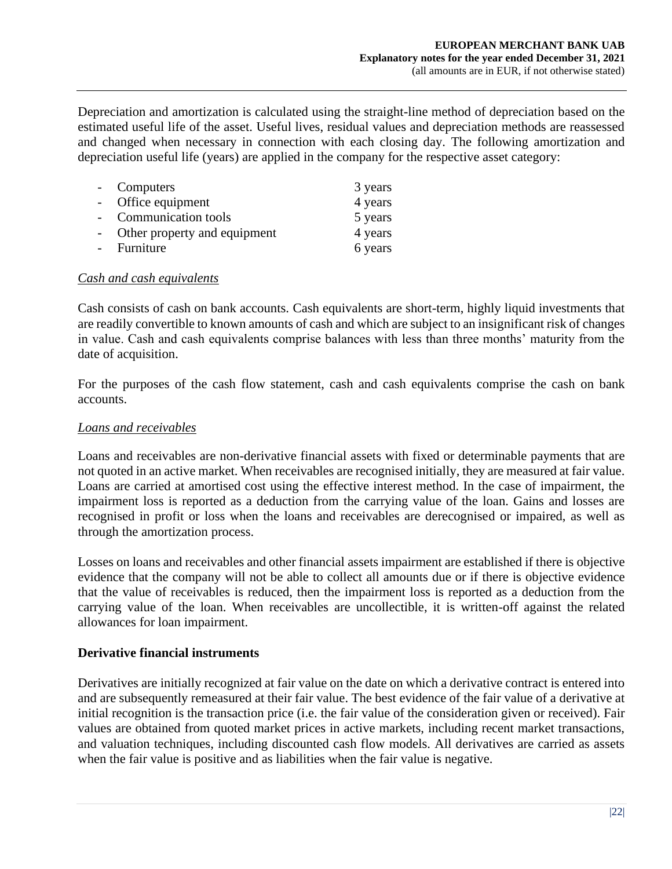Depreciation and amortization is calculated using the straight-line method of depreciation based on the estimated useful life of the asset. Useful lives, residual values and depreciation methods are reassessed and changed when necessary in connection with each closing day. The following amortization and depreciation useful life (years) are applied in the company for the respective asset category:

|            | - Computers                  | 3 years |
|------------|------------------------------|---------|
|            | - Office equipment           | 4 years |
|            | - Communication tools        | 5 years |
| $\sim 100$ | Other property and equipment | 4 years |
|            | - Furniture                  | 6 years |

### *Cash and cash equivalents*

Cash consists of cash on bank accounts. Cash equivalents are short-term, highly liquid investments that are readily convertible to known amounts of cash and which are subject to an insignificant risk of changes in value. Cash and cash equivalents comprise balances with less than three months' maturity from the date of acquisition.

For the purposes of the cash flow statement, cash and cash equivalents comprise the cash on bank accounts.

### *Loans and receivables*

Loans and receivables are non-derivative financial assets with fixed or determinable payments that are not quoted in an active market. When receivables are recognised initially, they are measured at fair value. Loans are carried at amortised cost using the effective interest method. In the case of impairment, the impairment loss is reported as a deduction from the carrying value of the loan. Gains and losses are recognised in profit or loss when the loans and receivables are derecognised or impaired, as well as through the amortization process.

Losses on loans and receivables and other financial assets impairment are established if there is objective evidence that the company will not be able to collect all amounts due or if there is objective evidence that the value of receivables is reduced, then the impairment loss is reported as a deduction from the carrying value of the loan. When receivables are uncollectible, it is written-off against the related allowances for loan impairment.

### **Derivative financial instruments**

Derivatives are initially recognized at fair value on the date on which a derivative contract is entered into and are subsequently remeasured at their fair value. The best evidence of the fair value of a derivative at initial recognition is the transaction price (i.e. the fair value of the consideration given or received). Fair values are obtained from quoted market prices in active markets, including recent market transactions, and valuation techniques, including discounted cash flow models. All derivatives are carried as assets when the fair value is positive and as liabilities when the fair value is negative.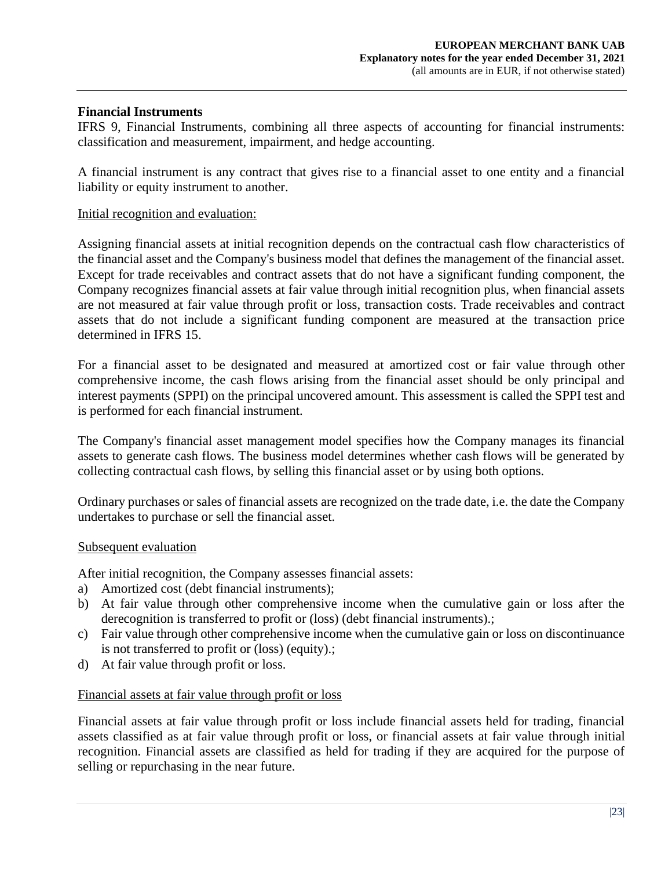### **Financial Instruments**

IFRS 9, Financial Instruments, combining all three aspects of accounting for financial instruments: classification and measurement, impairment, and hedge accounting.

A financial instrument is any contract that gives rise to a financial asset to one entity and a financial liability or equity instrument to another.

#### Initial recognition and evaluation:

Assigning financial assets at initial recognition depends on the contractual cash flow characteristics of the financial asset and the Company's business model that defines the management of the financial asset. Except for trade receivables and contract assets that do not have a significant funding component, the Company recognizes financial assets at fair value through initial recognition plus, when financial assets are not measured at fair value through profit or loss, transaction costs. Trade receivables and contract assets that do not include a significant funding component are measured at the transaction price determined in IFRS 15.

For a financial asset to be designated and measured at amortized cost or fair value through other comprehensive income, the cash flows arising from the financial asset should be only principal and interest payments (SPPI) on the principal uncovered amount. This assessment is called the SPPI test and is performed for each financial instrument.

The Company's financial asset management model specifies how the Company manages its financial assets to generate cash flows. The business model determines whether cash flows will be generated by collecting contractual cash flows, by selling this financial asset or by using both options.

Ordinary purchases or sales of financial assets are recognized on the trade date, i.e. the date the Company undertakes to purchase or sell the financial asset.

#### Subsequent evaluation

After initial recognition, the Company assesses financial assets:

- a) Amortized cost (debt financial instruments);
- b) At fair value through other comprehensive income when the cumulative gain or loss after the derecognition is transferred to profit or (loss) (debt financial instruments).;
- c) Fair value through other comprehensive income when the cumulative gain or loss on discontinuance is not transferred to profit or (loss) (equity).;
- d) At fair value through profit or loss.

#### Financial assets at fair value through profit or loss

Financial assets at fair value through profit or loss include financial assets held for trading, financial assets classified as at fair value through profit or loss, or financial assets at fair value through initial recognition. Financial assets are classified as held for trading if they are acquired for the purpose of selling or repurchasing in the near future.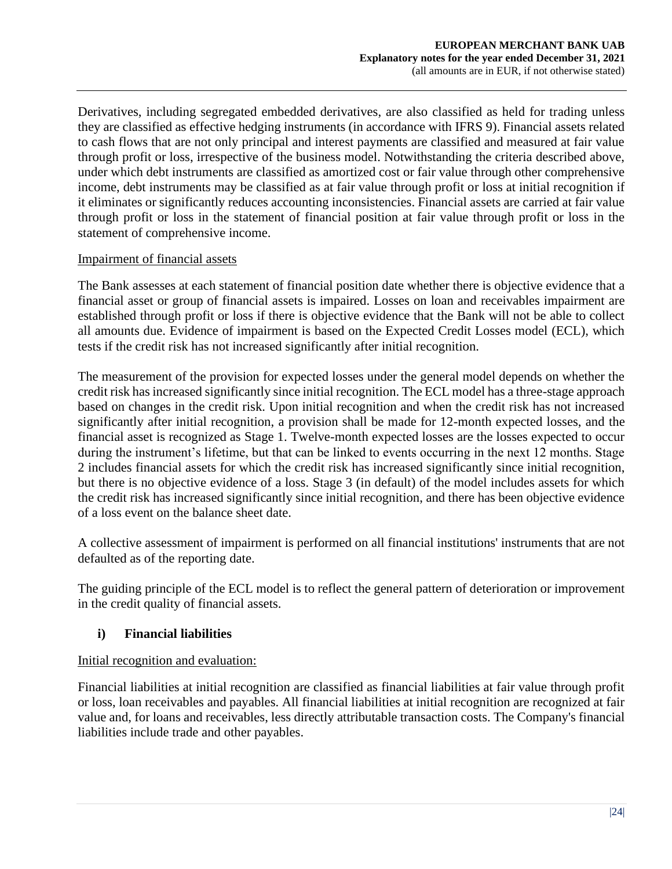Derivatives, including segregated embedded derivatives, are also classified as held for trading unless they are classified as effective hedging instruments (in accordance with IFRS 9). Financial assets related to cash flows that are not only principal and interest payments are classified and measured at fair value through profit or loss, irrespective of the business model. Notwithstanding the criteria described above, under which debt instruments are classified as amortized cost or fair value through other comprehensive income, debt instruments may be classified as at fair value through profit or loss at initial recognition if it eliminates or significantly reduces accounting inconsistencies. Financial assets are carried at fair value through profit or loss in the statement of financial position at fair value through profit or loss in the statement of comprehensive income.

### Impairment of financial assets

The Bank assesses at each statement of financial position date whether there is objective evidence that a financial asset or group of financial assets is impaired. Losses on loan and receivables impairment are established through profit or loss if there is objective evidence that the Bank will not be able to collect all amounts due. Evidence of impairment is based on the Expected Credit Losses model (ECL), which tests if the credit risk has not increased significantly after initial recognition.

The measurement of the provision for expected losses under the general model depends on whether the credit risk has increased significantly since initial recognition. The ECL model has a three-stage approach based on changes in the credit risk. Upon initial recognition and when the credit risk has not increased significantly after initial recognition, a provision shall be made for 12-month expected losses, and the financial asset is recognized as Stage 1. Twelve-month expected losses are the losses expected to occur during the instrument's lifetime, but that can be linked to events occurring in the next 12 months. Stage 2 includes financial assets for which the credit risk has increased significantly since initial recognition, but there is no objective evidence of a loss. Stage 3 (in default) of the model includes assets for which the credit risk has increased significantly since initial recognition, and there has been objective evidence of a loss event on the balance sheet date.

A collective assessment of impairment is performed on all financial institutions' instruments that are not defaulted as of the reporting date.

The guiding principle of the ECL model is to reflect the general pattern of deterioration or improvement in the credit quality of financial assets.

### **i) Financial liabilities**

### Initial recognition and evaluation:

Financial liabilities at initial recognition are classified as financial liabilities at fair value through profit or loss, loan receivables and payables. All financial liabilities at initial recognition are recognized at fair value and, for loans and receivables, less directly attributable transaction costs. The Company's financial liabilities include trade and other payables.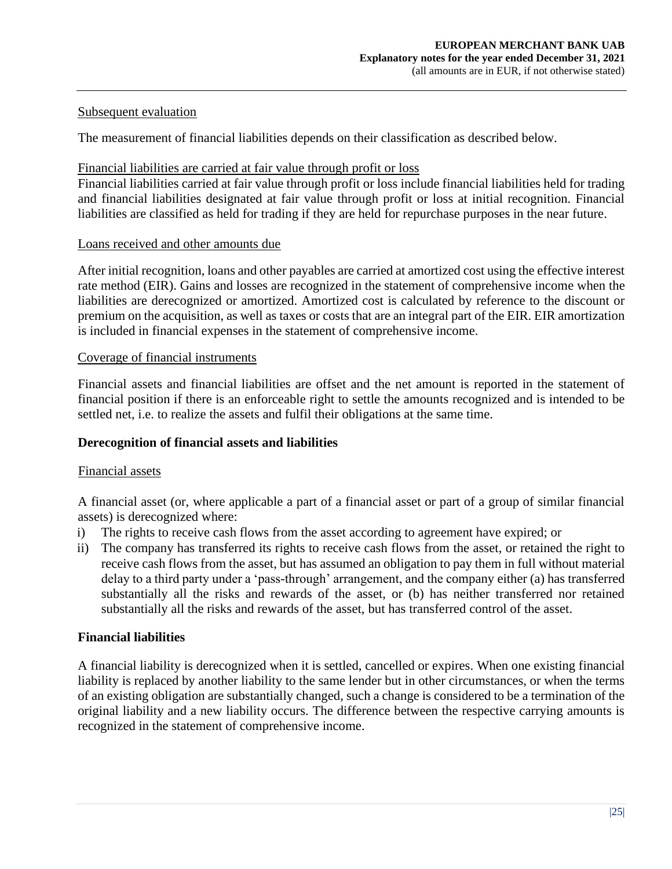#### Subsequent evaluation

The measurement of financial liabilities depends on their classification as described below.

#### Financial liabilities are carried at fair value through profit or loss

Financial liabilities carried at fair value through profit or loss include financial liabilities held for trading and financial liabilities designated at fair value through profit or loss at initial recognition. Financial liabilities are classified as held for trading if they are held for repurchase purposes in the near future.

### Loans received and other amounts due

After initial recognition, loans and other payables are carried at amortized cost using the effective interest rate method (EIR). Gains and losses are recognized in the statement of comprehensive income when the liabilities are derecognized or amortized. Amortized cost is calculated by reference to the discount or premium on the acquisition, as well as taxes or costs that are an integral part of the EIR. EIR amortization is included in financial expenses in the statement of comprehensive income.

### Coverage of financial instruments

Financial assets and financial liabilities are offset and the net amount is reported in the statement of financial position if there is an enforceable right to settle the amounts recognized and is intended to be settled net, i.e. to realize the assets and fulfil their obligations at the same time.

### **Derecognition of financial assets and liabilities**

### Financial assets

A financial asset (or, where applicable a part of a financial asset or part of a group of similar financial assets) is derecognized where:

- i) The rights to receive cash flows from the asset according to agreement have expired; or
- ii) The company has transferred its rights to receive cash flows from the asset, or retained the right to receive cash flows from the asset, but has assumed an obligation to pay them in full without material delay to a third party under a 'pass-through' arrangement, and the company either (a) has transferred substantially all the risks and rewards of the asset, or (b) has neither transferred nor retained substantially all the risks and rewards of the asset, but has transferred control of the asset.

### **Financial liabilities**

A financial liability is derecognized when it is settled, cancelled or expires. When one existing financial liability is replaced by another liability to the same lender but in other circumstances, or when the terms of an existing obligation are substantially changed, such a change is considered to be a termination of the original liability and a new liability occurs. The difference between the respective carrying amounts is recognized in the statement of comprehensive income.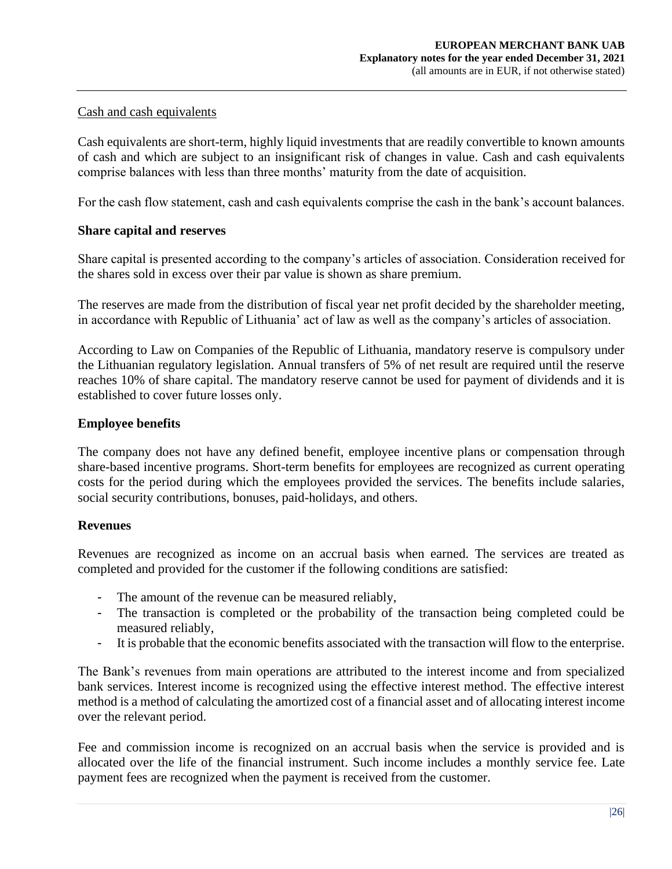#### Cash and cash equivalents

Cash equivalents are short-term, highly liquid investments that are readily convertible to known amounts of cash and which are subject to an insignificant risk of changes in value. Cash and cash equivalents comprise balances with less than three months' maturity from the date of acquisition.

For the cash flow statement, cash and cash equivalents comprise the cash in the bank's account balances.

### **Share capital and reserves**

Share capital is presented according to the company's articles of association. Consideration received for the shares sold in excess over their par value is shown as share premium.

The reserves are made from the distribution of fiscal year net profit decided by the shareholder meeting, in accordance with Republic of Lithuania' act of law as well as the company's articles of association.

According to Law on Companies of the Republic of Lithuania, mandatory reserve is compulsory under the Lithuanian regulatory legislation. Annual transfers of 5% of net result are required until the reserve reaches 10% of share capital. The mandatory reserve cannot be used for payment of dividends and it is established to cover future losses only.

#### **Employee benefits**

The company does not have any defined benefit, employee incentive plans or compensation through share-based incentive programs. Short-term benefits for employees are recognized as current operating costs for the period during which the employees provided the services. The benefits include salaries, social security contributions, bonuses, paid-holidays, and others.

### **Revenues**

Revenues are recognized as income on an accrual basis when earned. The services are treated as completed and provided for the customer if the following conditions are satisfied:

- The amount of the revenue can be measured reliably,
- The transaction is completed or the probability of the transaction being completed could be measured reliably,
- It is probable that the economic benefits associated with the transaction will flow to the enterprise.

The Bank's revenues from main operations are attributed to the interest income and from specialized bank services. Interest income is recognized using the effective interest method. The effective interest method is a method of calculating the amortized cost of a financial asset and of allocating interest income over the relevant period.

Fee and commission income is recognized on an accrual basis when the service is provided and is allocated over the life of the financial instrument. Such income includes a monthly service fee. Late payment fees are recognized when the payment is received from the customer.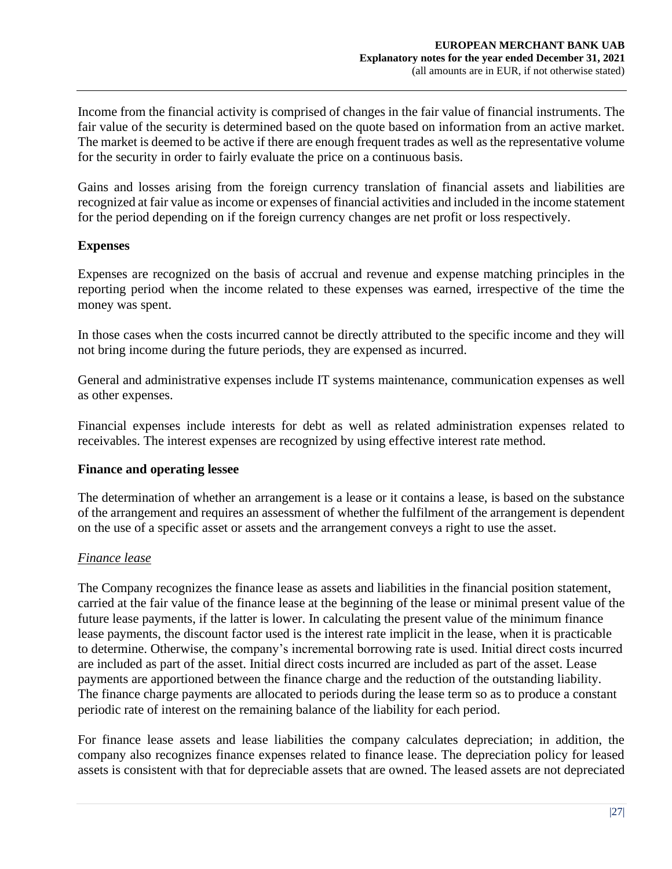Income from the financial activity is comprised of changes in the fair value of financial instruments. The fair value of the security is determined based on the quote based on information from an active market. The market is deemed to be active if there are enough frequent trades as well as the representative volume for the security in order to fairly evaluate the price on a continuous basis.

Gains and losses arising from the foreign currency translation of financial assets and liabilities are recognized at fair value as income or expenses of financial activities and included in the income statement for the period depending on if the foreign currency changes are net profit or loss respectively.

### **Expenses**

Expenses are recognized on the basis of accrual and revenue and expense matching principles in the reporting period when the income related to these expenses was earned, irrespective of the time the money was spent.

In those cases when the costs incurred cannot be directly attributed to the specific income and they will not bring income during the future periods, they are expensed as incurred.

General and administrative expenses include IT systems maintenance, communication expenses as well as other expenses.

Financial expenses include interests for debt as well as related administration expenses related to receivables. The interest expenses are recognized by using effective interest rate method.

#### **Finance and operating lessee**

The determination of whether an arrangement is a lease or it contains a lease, is based on the substance of the arrangement and requires an assessment of whether the fulfilment of the arrangement is dependent on the use of a specific asset or assets and the arrangement conveys a right to use the asset.

#### *Finance lease*

The Company recognizes the finance lease as assets and liabilities in the financial position statement, carried at the fair value of the finance lease at the beginning of the lease or minimal present value of the future lease payments, if the latter is lower. In calculating the present value of the minimum finance lease payments, the discount factor used is the interest rate implicit in the lease, when it is practicable to determine. Otherwise, the company's incremental borrowing rate is used. Initial direct costs incurred are included as part of the asset. Initial direct costs incurred are included as part of the asset. Lease payments are apportioned between the finance charge and the reduction of the outstanding liability. The finance charge payments are allocated to periods during the lease term so as to produce a constant periodic rate of interest on the remaining balance of the liability for each period.

For finance lease assets and lease liabilities the company calculates depreciation; in addition, the company also recognizes finance expenses related to finance lease. The depreciation policy for leased assets is consistent with that for depreciable assets that are owned. The leased assets are not depreciated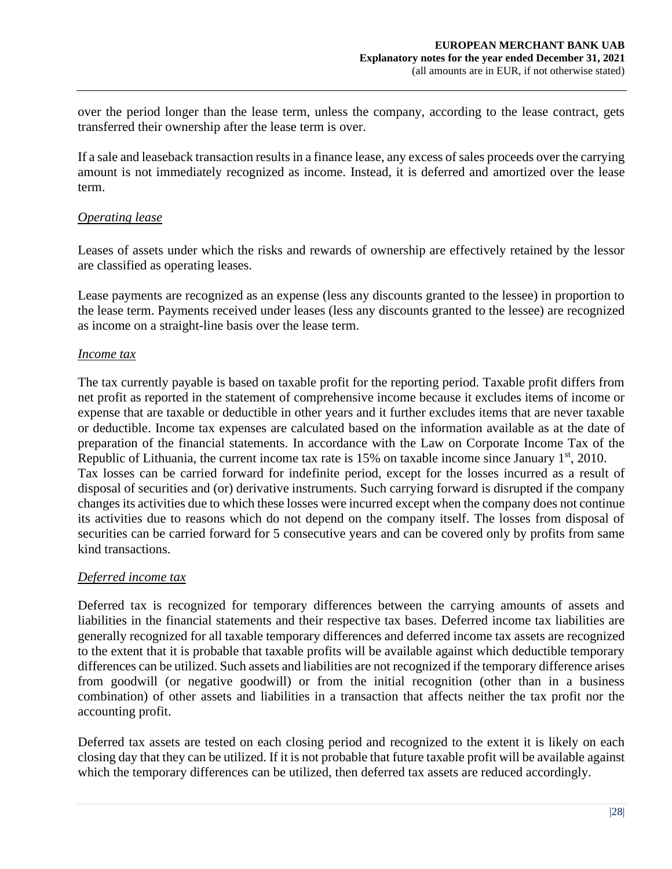over the period longer than the lease term, unless the company, according to the lease contract, gets transferred their ownership after the lease term is over.

If a sale and leaseback transaction results in a finance lease, any excess of sales proceeds over the carrying amount is not immediately recognized as income. Instead, it is deferred and amortized over the lease term.

### *Operating lease*

Leases of assets under which the risks and rewards of ownership are effectively retained by the lessor are classified as operating leases.

Lease payments are recognized as an expense (less any discounts granted to the lessee) in proportion to the lease term. Payments received under leases (less any discounts granted to the lessee) are recognized as income on a straight-line basis over the lease term.

### *Income tax*

The tax currently payable is based on taxable profit for the reporting period. Taxable profit differs from net profit as reported in the statement of comprehensive income because it excludes items of income or expense that are taxable or deductible in other years and it further excludes items that are never taxable or deductible. Income tax expenses are calculated based on the information available as at the date of preparation of the financial statements. In accordance with the Law on Corporate Income Tax of the Republic of Lithuania, the current income tax rate is  $15%$  on taxable income since January  $1<sup>st</sup>$ , 2010. Tax losses can be carried forward for indefinite period, except for the losses incurred as a result of disposal of securities and (or) derivative instruments. Such carrying forward is disrupted if the company changes its activities due to which these losses were incurred except when the company does not continue its activities due to reasons which do not depend on the company itself. The losses from disposal of securities can be carried forward for 5 consecutive years and can be covered only by profits from same kind transactions.

#### *Deferred income tax*

Deferred tax is recognized for temporary differences between the carrying amounts of assets and liabilities in the financial statements and their respective tax bases. Deferred income tax liabilities are generally recognized for all taxable temporary differences and deferred income tax assets are recognized to the extent that it is probable that taxable profits will be available against which deductible temporary differences can be utilized. Such assets and liabilities are not recognized if the temporary difference arises from goodwill (or negative goodwill) or from the initial recognition (other than in a business combination) of other assets and liabilities in a transaction that affects neither the tax profit nor the accounting profit.

Deferred tax assets are tested on each closing period and recognized to the extent it is likely on each closing day that they can be utilized. If it is not probable that future taxable profit will be available against which the temporary differences can be utilized, then deferred tax assets are reduced accordingly.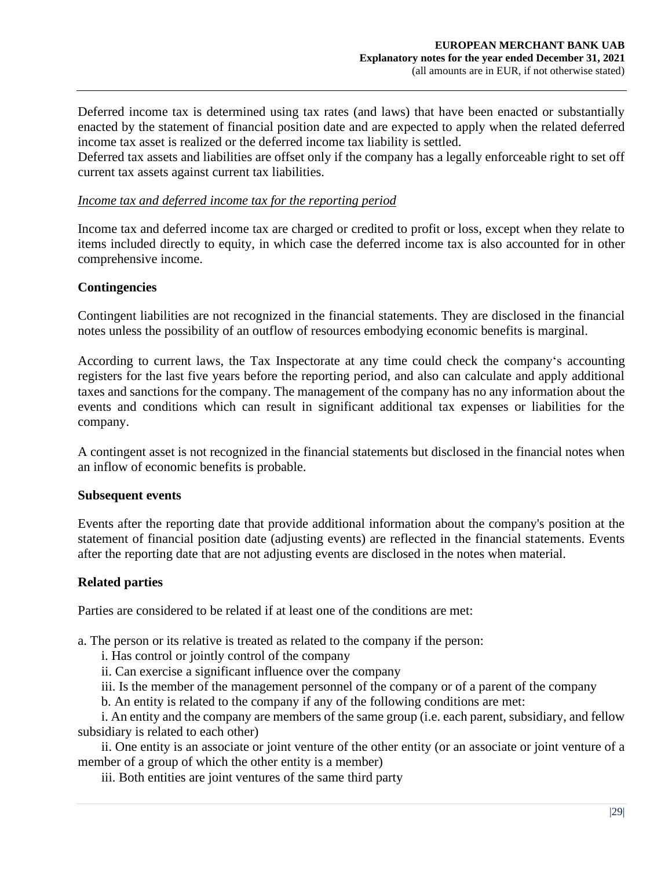Deferred income tax is determined using tax rates (and laws) that have been enacted or substantially enacted by the statement of financial position date and are expected to apply when the related deferred income tax asset is realized or the deferred income tax liability is settled.

Deferred tax assets and liabilities are offset only if the company has a legally enforceable right to set off current tax assets against current tax liabilities.

### *Income tax and deferred income tax for the reporting period*

Income tax and deferred income tax are charged or credited to profit or loss, except when they relate to items included directly to equity, in which case the deferred income tax is also accounted for in other comprehensive income.

### **Contingencies**

Contingent liabilities are not recognized in the financial statements. They are disclosed in the financial notes unless the possibility of an outflow of resources embodying economic benefits is marginal.

According to current laws, the Tax Inspectorate at any time could check the company's accounting registers for the last five years before the reporting period, and also can calculate and apply additional taxes and sanctions for the company. The management of the company has no any information about the events and conditions which can result in significant additional tax expenses or liabilities for the company.

A contingent asset is not recognized in the financial statements but disclosed in the financial notes when an inflow of economic benefits is probable.

#### **Subsequent events**

Events after the reporting date that provide additional information about the company's position at the statement of financial position date (adjusting events) are reflected in the financial statements. Events after the reporting date that are not adjusting events are disclosed in the notes when material.

#### **Related parties**

Parties are considered to be related if at least one of the conditions are met:

a. The person or its relative is treated as related to the company if the person:

i. Has control or jointly control of the company

ii. Can exercise a significant influence over the company

iii. Is the member of the management personnel of the company or of a parent of the company

b. An entity is related to the company if any of the following conditions are met:

i. An entity and the company are members of the same group (i.e. each parent, subsidiary, and fellow subsidiary is related to each other)

ii. One entity is an associate or joint venture of the other entity (or an associate or joint venture of a member of a group of which the other entity is a member)

iii. Both entities are joint ventures of the same third party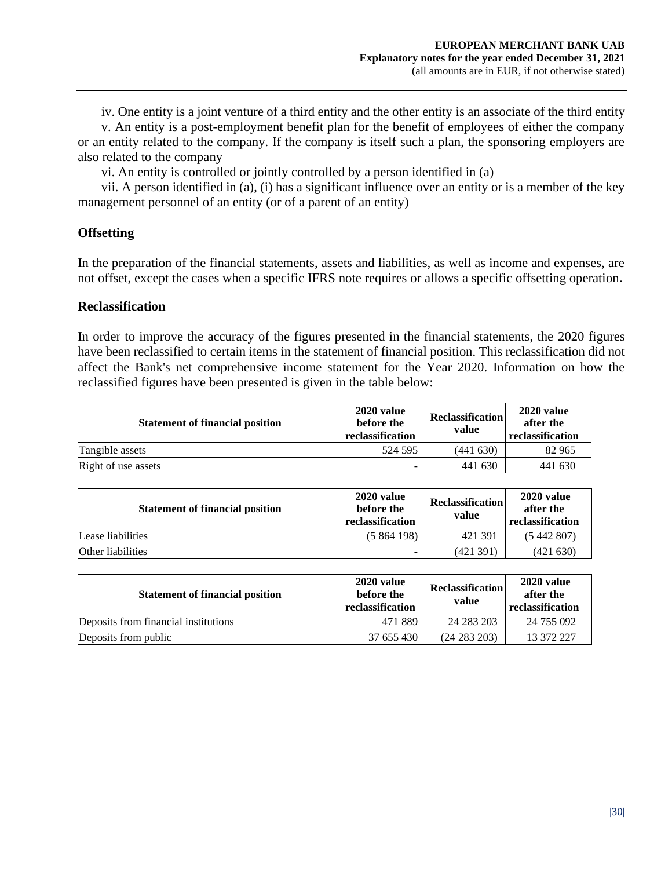iv. One entity is a joint venture of a third entity and the other entity is an associate of the third entity

v. An entity is a post-employment benefit plan for the benefit of employees of either the company or an entity related to the company. If the company is itself such a plan, the sponsoring employers are also related to the company

vi. An entity is controlled or jointly controlled by a person identified in (a)

vii. A person identified in (a), (i) has a significant influence over an entity or is a member of the key management personnel of an entity (or of a parent of an entity)

#### **Offsetting**

In the preparation of the financial statements, assets and liabilities, as well as income and expenses, are not offset, except the cases when a specific IFRS note requires or allows a specific offsetting operation.

#### **Reclassification**

In order to improve the accuracy of the figures presented in the financial statements, the 2020 figures have been reclassified to certain items in the statement of financial position. This reclassification did not affect the Bank's net comprehensive income statement for the Year 2020. Information on how the reclassified figures have been presented is given in the table below:

| <b>Statement of financial position</b> | 2020 value<br>before the<br>reclassification | <b>Reclassification</b><br>value | 2020 value<br>after the<br>reclassification |
|----------------------------------------|----------------------------------------------|----------------------------------|---------------------------------------------|
| Tangible assets                        | 524 595                                      | (441630)                         | 82 965                                      |
| Right of use assets                    | -                                            | 441 630                          | 441 630                                     |

| <b>Statement of financial position</b> | 2020 value<br>before the<br>reclassification | <b>Reclassification</b><br>value | 2020 value<br>after the<br>reclassification |
|----------------------------------------|----------------------------------------------|----------------------------------|---------------------------------------------|
| Lease liabilities                      | (5 864 198)                                  | 421 391                          | (5, 442, 807)                               |
| Other liabilities                      | ۰                                            | (421391)                         | (421 630)                                   |

| <b>Statement of financial position</b> | 2020 value<br>before the<br>reclassification | <b>Reclassification</b><br>value | 2020 value<br>after the<br>reclassification |
|----------------------------------------|----------------------------------------------|----------------------------------|---------------------------------------------|
| Deposits from financial institutions   | 471 889                                      | 24 283 203                       | 24 755 092                                  |
| Deposits from public                   | 37 655 430                                   | $(24\ 283\ 203)$                 | 13 372 227                                  |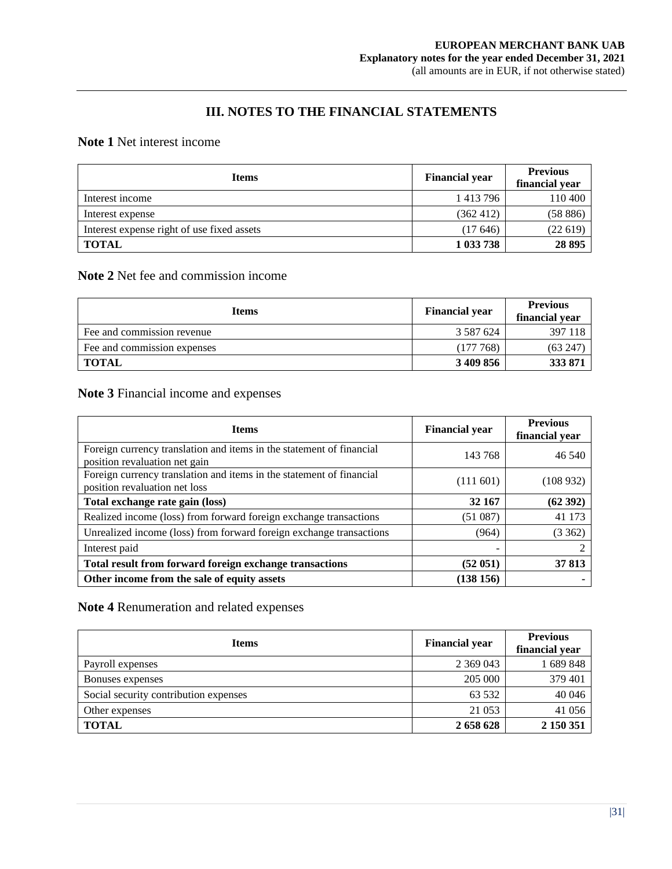# **III. NOTES TO THE FINANCIAL STATEMENTS**

### **Note 1** Net interest income

| <b>Items</b>                               | <b>Financial year</b> | <b>Previous</b><br>financial year |
|--------------------------------------------|-----------------------|-----------------------------------|
| Interest income                            | 1 4 1 3 7 9 6         | 110 400                           |
| Interest expense                           | (362, 412)            | (58 886)                          |
| Interest expense right of use fixed assets | (17646)               | (22619)                           |
| <b>TOTAL</b>                               | 1 033 738             | 28 8 95                           |

# **Note 2** Net fee and commission income

| <b>Items</b>                | <b>Financial year</b> | <b>Previous</b><br>financial year |  |
|-----------------------------|-----------------------|-----------------------------------|--|
| Fee and commission revenue  | 3 5 8 7 6 2 4         | 397 118                           |  |
| Fee and commission expenses | (177768)              | (63247)                           |  |
| <b>TOTAL</b>                | 3 409 856             | 333 871                           |  |

# **Note 3** Financial income and expenses

| <b>Items</b>                                                                                          | <b>Financial year</b> | <b>Previous</b><br>financial year |
|-------------------------------------------------------------------------------------------------------|-----------------------|-----------------------------------|
| Foreign currency translation and items in the statement of financial<br>position revaluation net gain | 143 768               | 46 540                            |
| Foreign currency translation and items in the statement of financial<br>position revaluation net loss | (111601)              | (108932)                          |
| Total exchange rate gain (loss)                                                                       | 32 167                | (62392)                           |
| Realized income (loss) from forward foreign exchange transactions                                     | (51087)               | 41 173                            |
| Unrealized income (loss) from forward foreign exchange transactions                                   | (964)                 | (3362)                            |
| Interest paid                                                                                         |                       | ∍                                 |
| Total result from forward foreign exchange transactions                                               | (52 051)              | 37 813                            |
| Other income from the sale of equity assets                                                           | (138156)              |                                   |

# **Note 4** Renumeration and related expenses

| <b>Items</b>                          | <b>Financial year</b> | <b>Previous</b><br>financial year |
|---------------------------------------|-----------------------|-----------------------------------|
| Payroll expenses                      | 2 369 043             | 1 689 848                         |
| Bonuses expenses                      | 205 000               | 379 401                           |
| Social security contribution expenses | 63 532                | 40 046                            |
| Other expenses                        | 21 053                | 41 056                            |
| <b>TOTAL</b>                          | 2 658 628             | 2 150 351                         |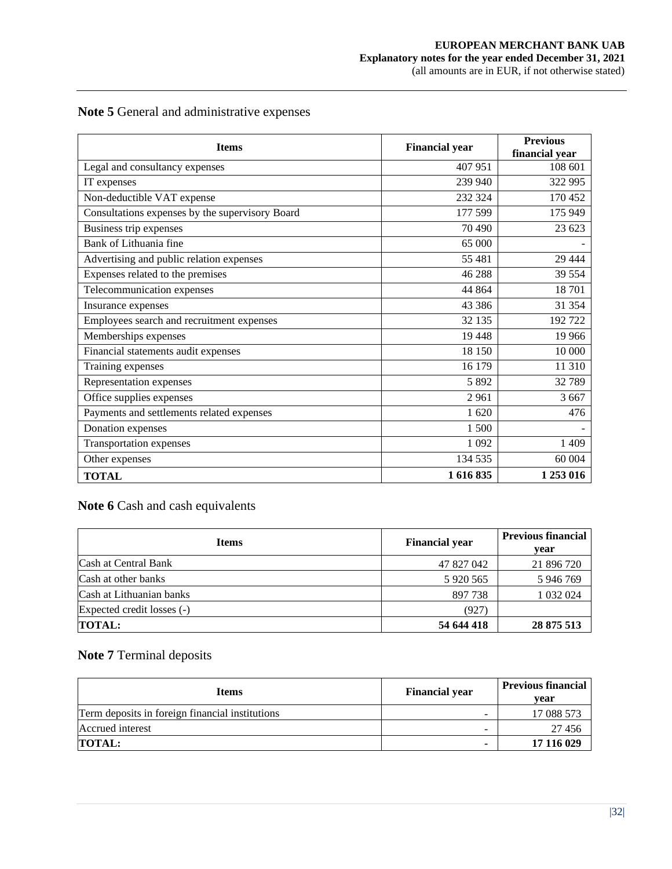| <b>Items</b>                                    | <b>Financial year</b> | <b>Previous</b><br>financial year |
|-------------------------------------------------|-----------------------|-----------------------------------|
| Legal and consultancy expenses                  | 407 951               | 108 601                           |
| IT expenses                                     | 239 940               | 322 995                           |
| Non-deductible VAT expense                      | 232 324               | 170 452                           |
| Consultations expenses by the supervisory Board | 177 599               | 175 949                           |
| Business trip expenses                          | 70 490                | 23 623                            |
| Bank of Lithuania fine                          | 65 000                |                                   |
| Advertising and public relation expenses        | 55 481                | 29 4 44                           |
| Expenses related to the premises                | 46 288                | 39 554                            |
| Telecommunication expenses                      | 44 8 64               | 18701                             |
| Insurance expenses                              | 43 3 8 6              | 31 354                            |
| Employees search and recruitment expenses       | 32 135                | 192722                            |
| Memberships expenses                            | 19 4 48               | 19 966                            |
| Financial statements audit expenses             | 18 150                | 10 000                            |
| Training expenses                               | 16 179                | 11 310                            |
| Representation expenses                         | 5 8 9 2               | 32789                             |
| Office supplies expenses                        | 2961                  | 3 6 6 7                           |
| Payments and settlements related expenses       | 1620                  | 476                               |
| Donation expenses                               | 1 500                 |                                   |
| Transportation expenses                         | 1 0 9 2               | 1 4 0 9                           |
| Other expenses                                  | 134 535               | 60 004                            |
| <b>TOTAL</b>                                    | 1 616 835             | 1 253 016                         |

# **Note 5** General and administrative expenses

### **Note 6** Cash and cash equivalents

| <b>Items</b>               | <b>Financial year</b> | <b>Previous financial</b><br>vear |
|----------------------------|-----------------------|-----------------------------------|
| Cash at Central Bank       | 47 827 042            | 21 896 720                        |
| Cash at other banks        | 5 9 20 5 6 5          | 5 946 769                         |
| Cash at Lithuanian banks   | 897 738               | 1 032 024                         |
| Expected credit losses (-) | (927)                 |                                   |
| <b>TOTAL:</b>              | 54 644 418            | 28 875 513                        |

# **Note 7** Terminal deposits

| <b>Items</b>                                    | <b>Financial year</b>    | <b>Previous financial</b><br>vear |
|-------------------------------------------------|--------------------------|-----------------------------------|
| Term deposits in foreign financial institutions | $\overline{\phantom{0}}$ | 17 088 573                        |
| Accrued interest                                |                          | 27456                             |
| <b>TOTAL:</b>                                   | -                        | 17 116 029                        |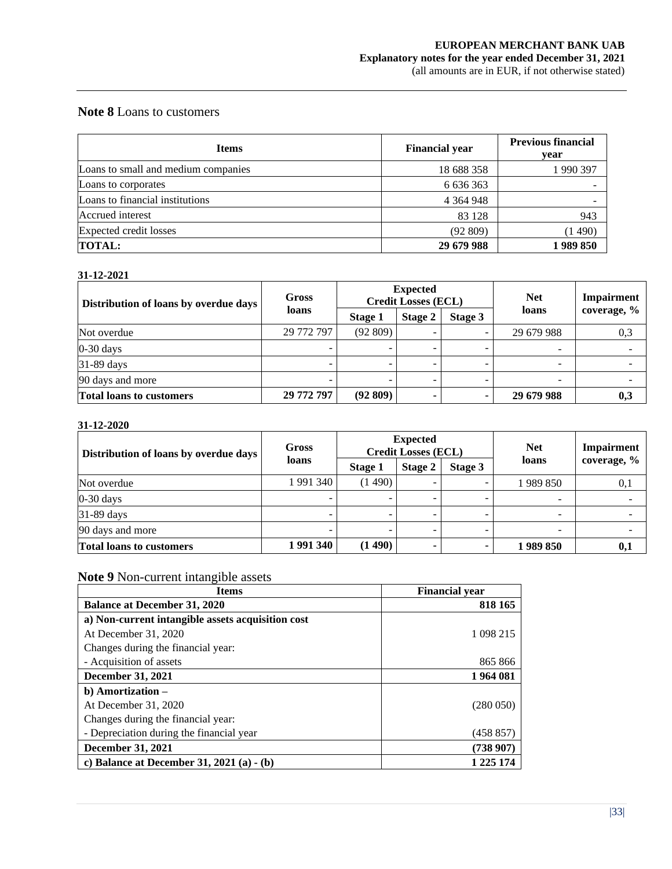#### **Note 8** Loans to customers

| <b>Items</b>                        | <b>Financial year</b> | <b>Previous financial</b><br>year |
|-------------------------------------|-----------------------|-----------------------------------|
| Loans to small and medium companies | 18 688 358            | 1 990 397                         |
| Loans to corporates                 | 6 636 363             |                                   |
| Loans to financial institutions     | 4 3 6 4 9 4 8         |                                   |
| Accrued interest                    | 83 128                | 943                               |
| Expected credit losses              | (92809)               | (1490)                            |
| <b>TOTAL:</b>                       | 29 679 988            | 1989850                           |

#### **31-12-2021**

| Distribution of loans by overdue days | <b>Gross</b><br>loans | <b>Expected</b><br><b>Credit Losses (ECL)</b> |  | <b>Net</b> | Impairment |             |
|---------------------------------------|-----------------------|-----------------------------------------------|--|------------|------------|-------------|
|                                       |                       | <b>Stage 2</b><br>Stage 1                     |  | Stage 3    | loans      | coverage, % |
| Not overdue                           | 29 772 797            | (92809)                                       |  |            | 29 679 988 | 0,3         |
| $0-30$ days                           |                       |                                               |  |            | -          |             |
| $31-89$ days                          |                       |                                               |  |            | -          |             |
| 90 days and more                      |                       |                                               |  |            | -          |             |
| <b>Total loans to customers</b>       | 29 772 797            | (92809)                                       |  |            | 29 679 988 | 0,3         |

#### **31-12-2020**

| Distribution of loans by overdue days | Gross<br>loans | <b>Expected</b><br><b>Credit Losses (ECL)</b> |   | <b>Net</b> | Impairment               |             |
|---------------------------------------|----------------|-----------------------------------------------|---|------------|--------------------------|-------------|
|                                       |                | Stage 2<br><b>Stage 1</b>                     |   | Stage 3    | loans                    | coverage, % |
| Not overdue                           | 1991340        | (1490)                                        |   |            | 1989 850                 | 0,1         |
| $0-30$ days                           |                |                                               |   |            | $\overline{\phantom{0}}$ |             |
| 31-89 days                            |                |                                               |   |            | $\overline{\phantom{0}}$ |             |
| 90 days and more                      |                |                                               | - |            | -                        |             |
| <b>Total loans to customers</b>       | 1 991 340      | (1490)                                        |   |            | 1989850                  | 0,1         |

# **Note 9** Non-current intangible assets

| <b>Items</b>                                      | <b>Financial vear</b> |
|---------------------------------------------------|-----------------------|
| <b>Balance at December 31, 2020</b>               | 818 165               |
| a) Non-current intangible assets acquisition cost |                       |
| At December 31, 2020                              | 1 098 215             |
| Changes during the financial year:                |                       |
| - Acquisition of assets                           | 865 866               |
| <b>December 31, 2021</b>                          | 1964081               |
| b) Amortization –                                 |                       |
| At December 31, 2020                              | (280050)              |
| Changes during the financial year:                |                       |
| - Depreciation during the financial year          | (458 857)             |
| <b>December 31, 2021</b>                          | (738907)              |
| c) Balance at December 31, 2021 (a) $-$ (b)       | 1 2 2 5 1 7 4         |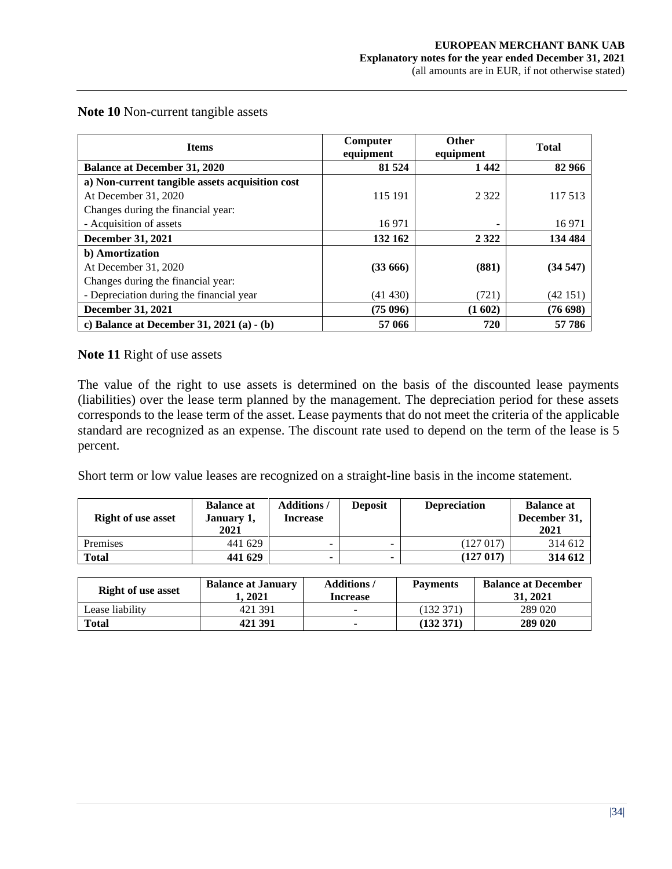| <b>Items</b>                                    | Computer<br>equipment | <b>Other</b><br>equipment | Total    |
|-------------------------------------------------|-----------------------|---------------------------|----------|
| <b>Balance at December 31, 2020</b>             | 81 524                | 1442                      | 82 966   |
| a) Non-current tangible assets acquisition cost |                       |                           |          |
| At December 31, 2020                            | 115 191               | 2 3 2 2                   | 117 513  |
| Changes during the financial year:              |                       |                           |          |
| - Acquisition of assets                         | 16 971                | $\overline{\phantom{0}}$  | 16 971   |
| <b>December 31, 2021</b>                        | 132 162               | 2 3 2 2                   | 134 484  |
| b) Amortization                                 |                       |                           |          |
| At December 31, 2020                            | (33666)               | (881)                     | (34547)  |
| Changes during the financial year:              |                       |                           |          |
| - Depreciation during the financial year        | (41 430)              | (721)                     | (42 151) |
| <b>December 31, 2021</b>                        | (75096)               | (1602)                    | (76 698) |
| c) Balance at December 31, 2021 (a) $-$ (b)     | 57 066                | 720                       | 57 786   |

**Note 10** Non-current tangible assets

#### **Note 11** Right of use assets

The value of the right to use assets is determined on the basis of the discounted lease payments (liabilities) over the lease term planned by the management. The depreciation period for these assets corresponds to the lease term of the asset. Lease payments that do not meet the criteria of the applicable standard are recognized as an expense. The discount rate used to depend on the term of the lease is 5 percent.

Short term or low value leases are recognized on a straight-line basis in the income statement.

| <b>Right of use asset</b> | <b>Balance at</b><br>January 1,<br>2021 | <b>Additions</b><br>Increase | <b>Deposit</b> | <b>Depreciation</b> | <b>Balance at</b><br>December 31,<br>2021 |
|---------------------------|-----------------------------------------|------------------------------|----------------|---------------------|-------------------------------------------|
| Premises                  | 441 629                                 | -                            |                | (127 017)           | 314 612                                   |
| <b>Total</b>              | 441 629                                 |                              |                | (127 017)           | 314 612                                   |

| <b>Right of use asset</b> | <b>Balance at January</b><br>1. 2021 | <b>Additions</b> /<br>Increase | <b>Payments</b> | <b>Balance at December</b><br>31.2021 |
|---------------------------|--------------------------------------|--------------------------------|-----------------|---------------------------------------|
| Lease liability           | 421 391                              | $\overline{\phantom{a}}$       | (132 371)       | 289 020                               |
| Total                     | 421 391                              | ۰                              | (132371)        | 289 020                               |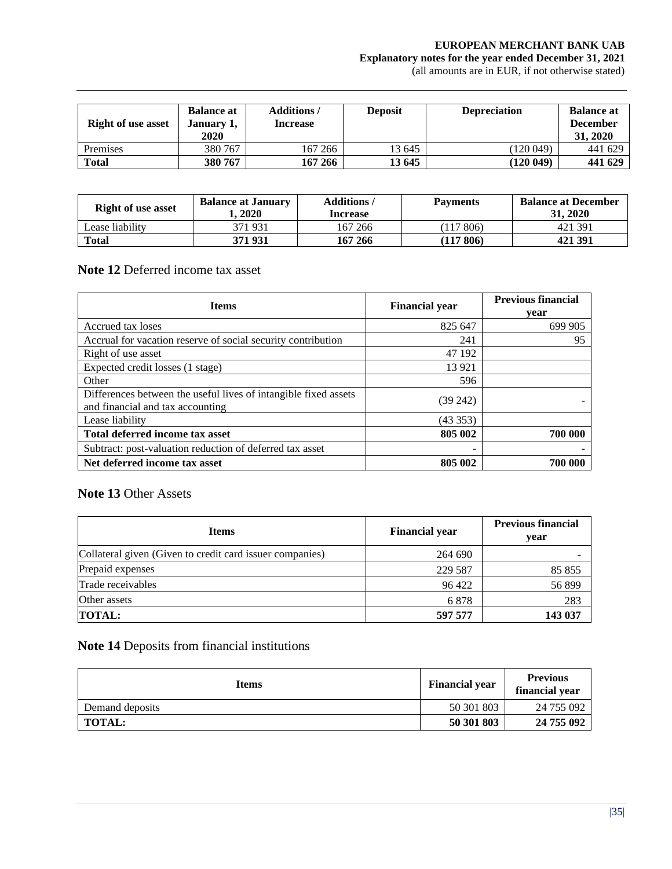#### **EUROPEAN MERCHANT BANK UAB Explanatory notes for the year ended December 31, 2021**

(all amounts are in EUR, if not otherwise stated)

| <b>Right of use asset</b> | <b>Balance at</b><br>January 1,<br>2020 | <b>Additions</b> /<br><b>Increase</b> | <b>Deposit</b> | <b>Depreciation</b> | <b>Balance at</b><br><b>December</b><br>31, 2020 |
|---------------------------|-----------------------------------------|---------------------------------------|----------------|---------------------|--------------------------------------------------|
| Premises                  | 380 767                                 | 167 266                               | 13 645         | (120049)            | 441 629                                          |
| <b>Total</b>              | 380 767                                 | 167 266                               | 13 645         | (120049)            | 441 629                                          |

| <b>Right of use asset</b> | <b>Balance at January</b><br>. . 2020 | <b>Additions</b> /<br>Increase | <b>Payments</b> | <b>Balance at December</b><br>31.2020 |
|---------------------------|---------------------------------------|--------------------------------|-----------------|---------------------------------------|
| Lease liability           | 371931                                | 167 266                        | (117806)        | 421 391                               |
| Total                     | 371 931                               | 167 266                        | (117806)        | 421 391                               |

# **Note 12** Deferred income tax asset

| <b>Items</b>                                                                                        | <b>Financial year</b> | <b>Previous financial</b><br>vear |
|-----------------------------------------------------------------------------------------------------|-----------------------|-----------------------------------|
| Accrued tax loses                                                                                   | 825 647               | 699 905                           |
| Accrual for vacation reserve of social security contribution                                        | 241                   | 95                                |
| Right of use asset                                                                                  | 47 192                |                                   |
| Expected credit losses (1 stage)                                                                    | 13 9 21               |                                   |
| Other                                                                                               | 596                   |                                   |
| Differences between the useful lives of intangible fixed assets<br>and financial and tax accounting | (39 242)              |                                   |
| Lease liability                                                                                     | (43353)               |                                   |
| Total deferred income tax asset                                                                     | 805 002               | 700 000                           |
| Subtract: post-valuation reduction of deferred tax asset                                            |                       |                                   |
| Net deferred income tax asset                                                                       | 805 002               | 700 000                           |

#### **Note 13** Other Assets

| <b>Items</b>                                             | <b>Financial year</b> | <b>Previous financial</b><br>vear |
|----------------------------------------------------------|-----------------------|-----------------------------------|
| Collateral given (Given to credit card issuer companies) | 264 690               |                                   |
| Prepaid expenses                                         | 229 587               | 85 855                            |
| Trade receivables                                        | 96 422                | 56 899                            |
| Other assets                                             | 6878                  | 283                               |
| <b>TOTAL:</b>                                            | 597 577               | 143 037                           |

# **Note 14** Deposits from financial institutions

| <b>Items</b>    | <b>Financial year</b> | <b>Previous</b><br>financial year |
|-----------------|-----------------------|-----------------------------------|
| Demand deposits | 50 301 803            | 24 755 092                        |
| <b>TOTAL:</b>   | 50 301 803            | 24 755 092                        |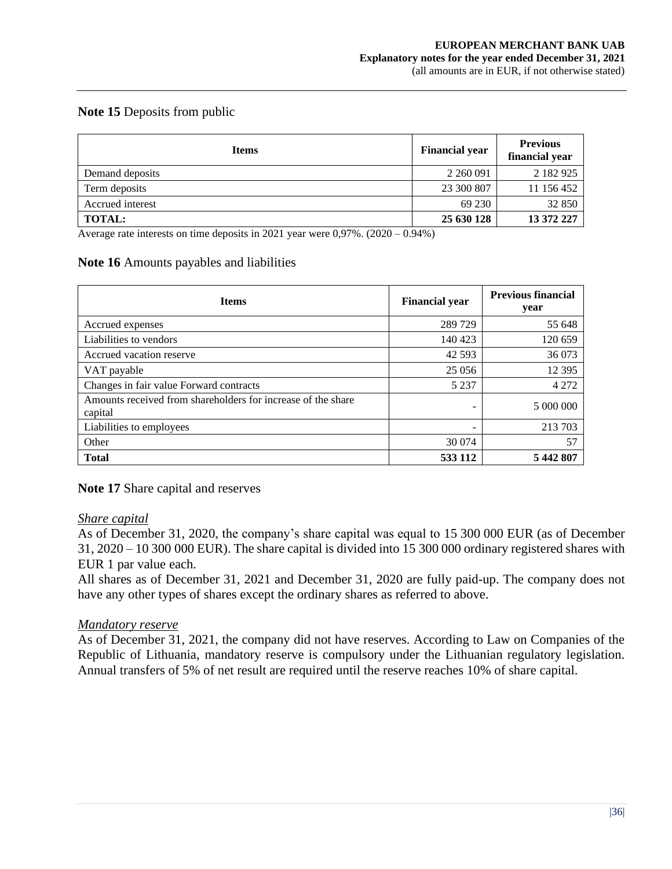### **Note 15** Deposits from public

| <b>Items</b>     | <b>Financial year</b> | <b>Previous</b><br>financial year |
|------------------|-----------------------|-----------------------------------|
| Demand deposits  | 2 2 6 0 0 9 1         | 2 182 925                         |
| Term deposits    | 23 300 807            | 11 156 452                        |
| Accrued interest | 69 230                | 32 850                            |
| <b>TOTAL:</b>    | 25 630 128            | 13 372 227                        |

Average rate interests on time deposits in 2021 year were 0,97%. (2020 – 0.94%)

### **Note 16** Amounts payables and liabilities

| <b>Items</b>                                                            | <b>Financial year</b>    | <b>Previous financial</b><br>year |
|-------------------------------------------------------------------------|--------------------------|-----------------------------------|
| Accrued expenses                                                        | 289 729                  | 55 648                            |
| Liabilities to vendors                                                  | 140 423                  | 120 659                           |
| Accrued vacation reserve                                                | 42 5 93                  | 36 073                            |
| VAT payable                                                             | 25 0 56                  | 12 3 9 5                          |
| Changes in fair value Forward contracts                                 | 5 2 3 7                  | 4 2 7 2                           |
| Amounts received from shareholders for increase of the share<br>capital | $\overline{\phantom{a}}$ | 5 000 000                         |
| Liabilities to employees                                                |                          | 213 703                           |
| Other                                                                   | 30 074                   | 57                                |
| <b>Total</b>                                                            | 533 112                  | 5 442 807                         |

### **Note 17** Share capital and reserves

#### *Share capital*

As of December 31, 2020, the company's share capital was equal to 15 300 000 EUR (as of December 31, 2020 – 10 300 000 EUR). The share capital is divided into 15 300 000 ordinary registered shares with EUR 1 par value each.

All shares as of December 31, 2021 and December 31, 2020 are fully paid-up. The company does not have any other types of shares except the ordinary shares as referred to above.

#### *Mandatory reserve*

As of December 31, 2021, the company did not have reserves. According to Law on Companies of the Republic of Lithuania, mandatory reserve is compulsory under the Lithuanian regulatory legislation. Annual transfers of 5% of net result are required until the reserve reaches 10% of share capital.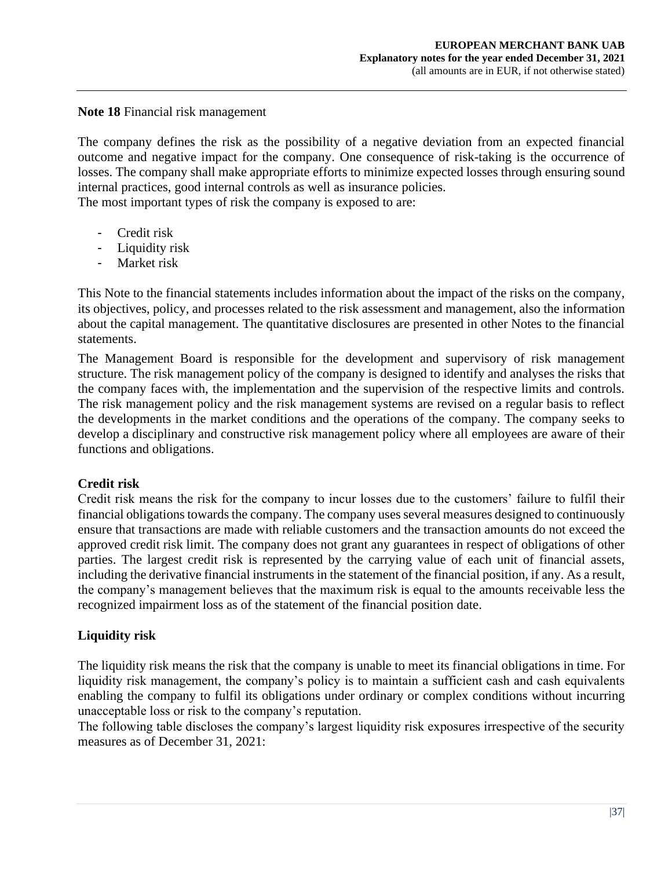### **Note 18** Financial risk management

The company defines the risk as the possibility of a negative deviation from an expected financial outcome and negative impact for the company. One consequence of risk-taking is the occurrence of losses. The company shall make appropriate efforts to minimize expected losses through ensuring sound internal practices, good internal controls as well as insurance policies. The most important types of risk the company is exposed to are:

- Credit risk
- Liquidity risk
- Market risk

This Note to the financial statements includes information about the impact of the risks on the company, its objectives, policy, and processes related to the risk assessment and management, also the information about the capital management. The quantitative disclosures are presented in other Notes to the financial statements.

The Management Board is responsible for the development and supervisory of risk management structure. The risk management policy of the company is designed to identify and analyses the risks that the company faces with, the implementation and the supervision of the respective limits and controls. The risk management policy and the risk management systems are revised on a regular basis to reflect the developments in the market conditions and the operations of the company. The company seeks to develop a disciplinary and constructive risk management policy where all employees are aware of their functions and obligations.

#### **Credit risk**

Credit risk means the risk for the company to incur losses due to the customers' failure to fulfil their financial obligations towards the company. The company usesseveral measures designed to continuously ensure that transactions are made with reliable customers and the transaction amounts do not exceed the approved credit risk limit. The company does not grant any guarantees in respect of obligations of other parties. The largest credit risk is represented by the carrying value of each unit of financial assets, including the derivative financial instruments in the statement of the financial position, if any. As a result, the company's management believes that the maximum risk is equal to the amounts receivable less the recognized impairment loss as of the statement of the financial position date.

### **Liquidity risk**

The liquidity risk means the risk that the company is unable to meet its financial obligations in time. For liquidity risk management, the company's policy is to maintain a sufficient cash and cash equivalents enabling the company to fulfil its obligations under ordinary or complex conditions without incurring unacceptable loss or risk to the company's reputation.

The following table discloses the company's largest liquidity risk exposures irrespective of the security measures as of December 31, 2021: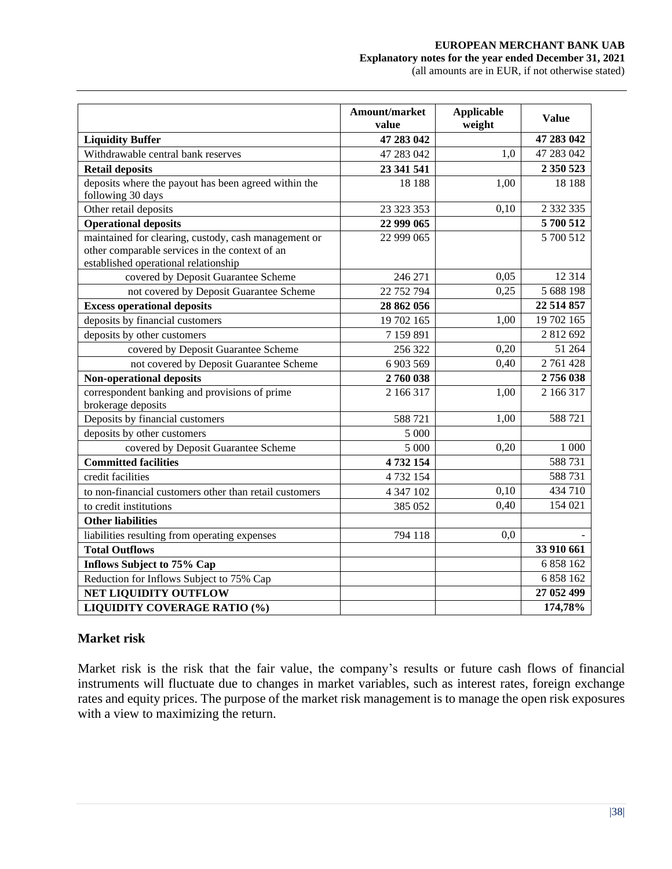# **EUROPEAN MERCHANT BANK UAB Explanatory notes for the year ended December 31, 2021**

(all amounts are in EUR, if not otherwise stated)

|                                                                                                                                                | Amount/market<br>value | <b>Applicable</b><br>weight | <b>Value</b>  |
|------------------------------------------------------------------------------------------------------------------------------------------------|------------------------|-----------------------------|---------------|
| <b>Liquidity Buffer</b>                                                                                                                        | 47 283 042             |                             | 47 283 042    |
| Withdrawable central bank reserves                                                                                                             | 47 283 042             | 1,0                         | 47 283 042    |
| <b>Retail deposits</b>                                                                                                                         | 23 341 541             |                             | 2 350 523     |
| deposits where the payout has been agreed within the                                                                                           | 18 18 8                | 1,00                        | 18 18 8       |
| following 30 days                                                                                                                              |                        |                             |               |
| Other retail deposits                                                                                                                          | 23 323 353             | 0,10                        | 2 3 3 2 3 3 5 |
| <b>Operational deposits</b>                                                                                                                    | 22 999 065             |                             | 5700512       |
| maintained for clearing, custody, cash management or<br>other comparable services in the context of an<br>established operational relationship | 22 999 065             |                             | 5 700 512     |
| covered by Deposit Guarantee Scheme                                                                                                            | 246 271                | 0,05                        | 12 3 14       |
| not covered by Deposit Guarantee Scheme                                                                                                        | 22 752 794             | 0,25                        | 5 688 198     |
| <b>Excess operational deposits</b>                                                                                                             | 28 862 056             |                             | 22 514 857    |
| deposits by financial customers                                                                                                                | 19 702 165             | 1,00                        | 19 702 165    |
| deposits by other customers                                                                                                                    | 7 159 891              |                             | 2 812 692     |
| covered by Deposit Guarantee Scheme                                                                                                            | 256 322                | 0,20                        | 51 264        |
| not covered by Deposit Guarantee Scheme                                                                                                        | 6 903 569              | 0,40                        | 2761428       |
| <b>Non-operational deposits</b>                                                                                                                | 2760038                |                             | 2756038       |
| correspondent banking and provisions of prime<br>brokerage deposits                                                                            | 2 166 317              | 1,00                        | 2 166 317     |
| Deposits by financial customers                                                                                                                | 588 721                | 1,00                        | 588 721       |
| deposits by other customers                                                                                                                    | 5 000                  |                             |               |
| covered by Deposit Guarantee Scheme                                                                                                            | 5 000                  | 0,20                        | 1 000         |
| <b>Committed facilities</b>                                                                                                                    | 4732154                |                             | 588 731       |
| credit facilities                                                                                                                              | 4 732 154              |                             | 588 731       |
| to non-financial customers other than retail customers                                                                                         | 4 347 102              | 0,10                        | 434 710       |
| to credit institutions                                                                                                                         | 385 052                | 0,40                        | 154 021       |
| <b>Other liabilities</b>                                                                                                                       |                        |                             |               |
| liabilities resulting from operating expenses                                                                                                  | 794 118                | 0,0                         |               |
| <b>Total Outflows</b>                                                                                                                          |                        |                             | 33 910 661    |
| Inflows Subject to 75% Cap                                                                                                                     |                        |                             | 6 858 162     |
| Reduction for Inflows Subject to 75% Cap                                                                                                       |                        |                             | 6 858 162     |
| <b>NET LIQUIDITY OUTFLOW</b>                                                                                                                   |                        |                             | 27 052 499    |
| <b>LIQUIDITY COVERAGE RATIO (%)</b>                                                                                                            |                        |                             | 174,78%       |

#### **Market risk**

Market risk is the risk that the fair value, the company's results or future cash flows of financial instruments will fluctuate due to changes in market variables, such as interest rates, foreign exchange rates and equity prices. The purpose of the market risk management is to manage the open risk exposures with a view to maximizing the return.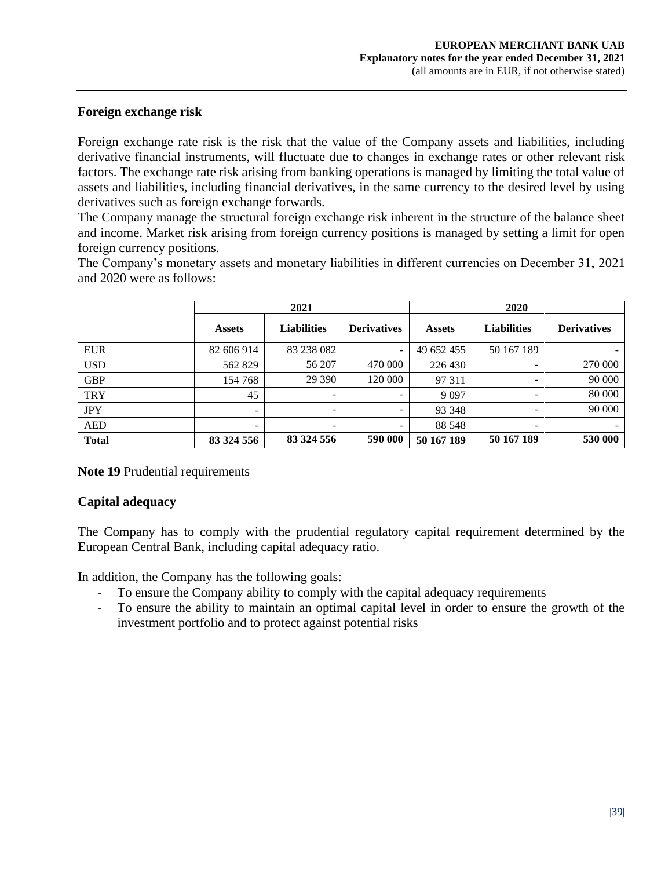### **Foreign exchange risk**

Foreign exchange rate risk is the risk that the value of the Company assets and liabilities, including derivative financial instruments, will fluctuate due to changes in exchange rates or other relevant risk factors. The exchange rate risk arising from banking operations is managed by limiting the total value of assets and liabilities, including financial derivatives, in the same currency to the desired level by using derivatives such as foreign exchange forwards.

The Company manage the structural foreign exchange risk inherent in the structure of the balance sheet and income. Market risk arising from foreign currency positions is managed by setting a limit for open foreign currency positions.

The Company's monetary assets and monetary liabilities in different currencies on December 31, 2021 and 2020 were as follows:

|              | 2021          |                    |                          | 2020          |                          |                    |
|--------------|---------------|--------------------|--------------------------|---------------|--------------------------|--------------------|
|              | <b>Assets</b> | <b>Liabilities</b> | <b>Derivatives</b>       | <b>Assets</b> | <b>Liabilities</b>       | <b>Derivatives</b> |
| <b>EUR</b>   | 82 606 914    | 83 238 082         | ÷.                       | 49 652 455    | 50 167 189               |                    |
| <b>USD</b>   | 562 829       | 56 207             | 470 000                  | 226 430       |                          | 270 000            |
| <b>GBP</b>   | 154 768       | 29 390             | 120 000                  | 97 311        | $\overline{\phantom{0}}$ | 90 000             |
| <b>TRY</b>   | 45            | -                  | $\overline{\phantom{a}}$ | 9 0 9 7       |                          | 80 000             |
| <b>JPY</b>   | ۰             |                    |                          | 93 348        |                          | 90 000             |
| AED          | -             |                    | -                        | 88 548        |                          |                    |
| <b>Total</b> | 83 324 556    | 83 324 556         | 590 000                  | 50 167 189    | 50 167 189               | 530 000            |

**Note 19** Prudential requirements

#### **Capital adequacy**

The Company has to comply with the prudential regulatory capital requirement determined by the European Central Bank, including capital adequacy ratio.

In addition, the Company has the following goals:

- To ensure the Company ability to comply with the capital adequacy requirements
- To ensure the ability to maintain an optimal capital level in order to ensure the growth of the investment portfolio and to protect against potential risks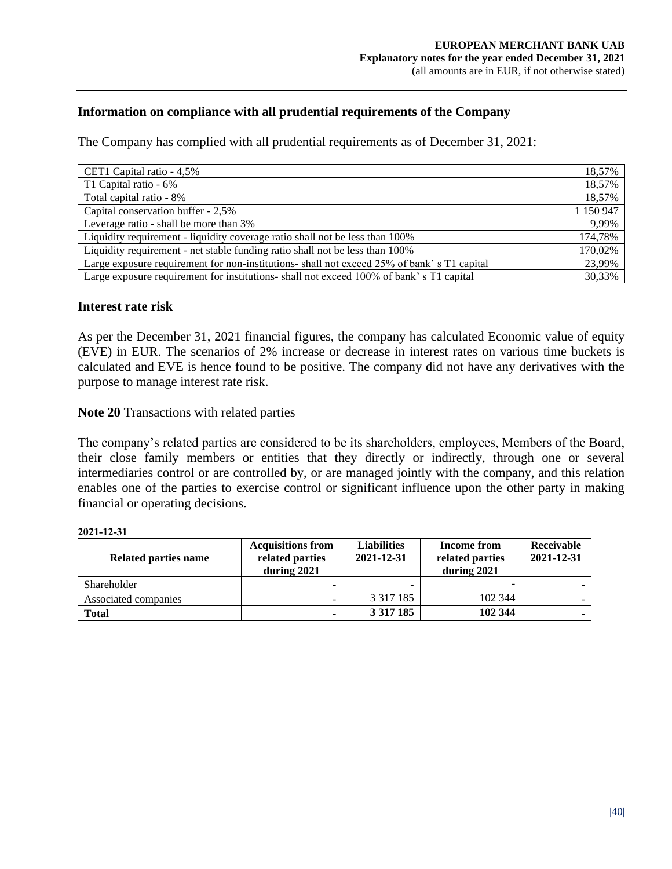### **Information on compliance with all prudential requirements of the Company**

The Company has complied with all prudential requirements as of December 31, 2021:

| CET1 Capital ratio - 4,5%                                                                  | 18,57%    |
|--------------------------------------------------------------------------------------------|-----------|
| T1 Capital ratio - 6%                                                                      | 18,57%    |
| Total capital ratio - 8%                                                                   | 18,57%    |
| Capital conservation buffer - 2,5%                                                         | 1 150 947 |
| Leverage ratio - shall be more than 3%                                                     | 9,99%     |
| Liquidity requirement - liquidity coverage ratio shall not be less than 100%               | 174,78%   |
| Liquidity requirement - net stable funding ratio shall not be less than 100%               | 170,02%   |
| Large exposure requirement for non-institutions- shall not exceed 25% of bank's T1 capital | 23,99%    |
| Large exposure requirement for institutions- shall not exceed 100% of bank's T1 capital    | 30,33%    |

#### **Interest rate risk**

As per the December 31, 2021 financial figures, the company has calculated Economic value of equity (EVE) in EUR. The scenarios of 2% increase or decrease in interest rates on various time buckets is calculated and EVE is hence found to be positive. The company did not have any derivatives with the purpose to manage interest rate risk.

#### **Note 20** Transactions with related parties

The company's related parties are considered to be its shareholders, employees, Members of the Board, their close family members or entities that they directly or indirectly, through one or several intermediaries control or are controlled by, or are managed jointly with the company, and this relation enables one of the parties to exercise control or significant influence upon the other party in making financial or operating decisions.

#### **2021-12-31**

| Related parties name | <b>Acquisitions from</b><br>related parties<br>during 2021 | <b>Liabilities</b><br>2021-12-31 | Income from<br>related parties<br>during 2021 | Receivable<br>2021-12-31 |
|----------------------|------------------------------------------------------------|----------------------------------|-----------------------------------------------|--------------------------|
| Shareholder          |                                                            |                                  |                                               |                          |
| Associated companies |                                                            | 3 3 1 7 1 8 5                    | 102 344                                       |                          |
| <b>Total</b>         |                                                            | 3 3 1 7 1 8 5                    | 102 344                                       |                          |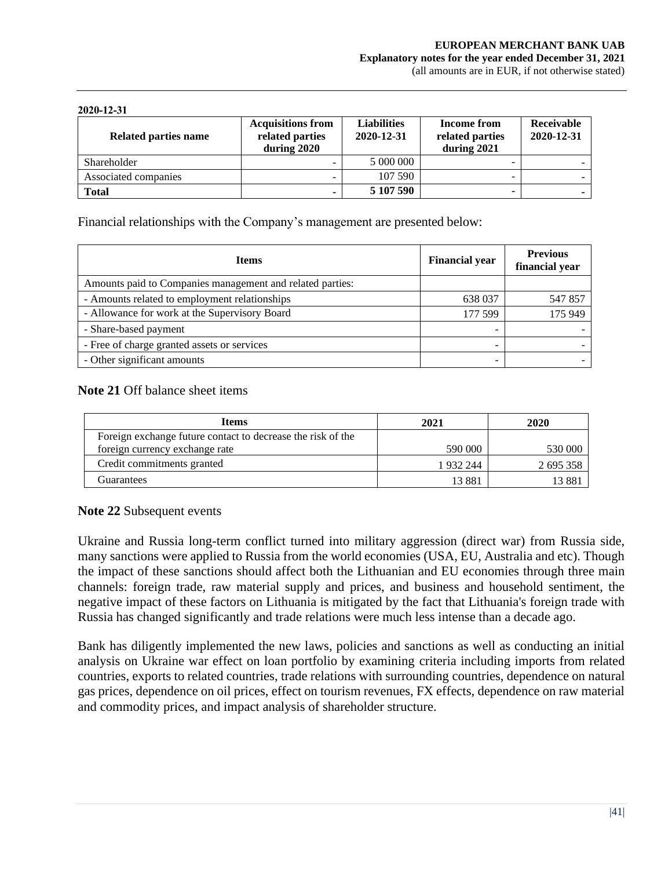#### **2020-12-31**

| Related parties name | <b>Acquisitions from</b><br>related parties<br>during 2020 | <b>Liabilities</b><br>2020-12-31 | <b>Income from</b><br>related parties<br>during 2021 | Receivable<br>2020-12-31 |
|----------------------|------------------------------------------------------------|----------------------------------|------------------------------------------------------|--------------------------|
| Shareholder          |                                                            | 5 000 000                        |                                                      |                          |
| Associated companies |                                                            | 107 590                          |                                                      |                          |
| <b>Total</b>         |                                                            | 5 107 590                        |                                                      |                          |

Financial relationships with the Company's management are presented below:

| <b>Items</b>                                              | <b>Financial year</b> | <b>Previous</b><br>financial year |
|-----------------------------------------------------------|-----------------------|-----------------------------------|
| Amounts paid to Companies management and related parties: |                       |                                   |
| - Amounts related to employment relationships             | 638 037               | 547857                            |
| - Allowance for work at the Supervisory Board             | 177 599               | 175 949                           |
| - Share-based payment                                     |                       |                                   |
| - Free of charge granted assets or services               |                       |                                   |
| - Other significant amounts                               |                       |                                   |

#### **Note 21** Off balance sheet items

| <b>Items</b>                                                | 2021     | 2020      |
|-------------------------------------------------------------|----------|-----------|
| Foreign exchange future contact to decrease the risk of the |          |           |
| foreign currency exchange rate                              | 590 000  | 530 000   |
| Credit commitments granted                                  | 1932 244 | 2 695 358 |
| Guarantees                                                  | 13 881   | 13 881    |

**Note 22** Subsequent events

Ukraine and Russia long-term conflict turned into military aggression (direct war) from Russia side, many sanctions were applied to Russia from the world economies (USA, EU, Australia and etc). Though the impact of these sanctions should affect both the Lithuanian and EU economies through three main channels: foreign trade, raw material supply and prices, and business and household sentiment, the negative impact of these factors on Lithuania is mitigated by the fact that Lithuania's foreign trade with Russia has changed significantly and trade relations were much less intense than a decade ago.

Bank has diligently implemented the new laws, policies and sanctions as well as conducting an initial analysis on Ukraine war effect on loan portfolio by examining criteria including imports from related countries, exports to related countries, trade relations with surrounding countries, dependence on natural gas prices, dependence on oil prices, effect on tourism revenues, FX effects, dependence on raw material and commodity prices, and impact analysis of shareholder structure.